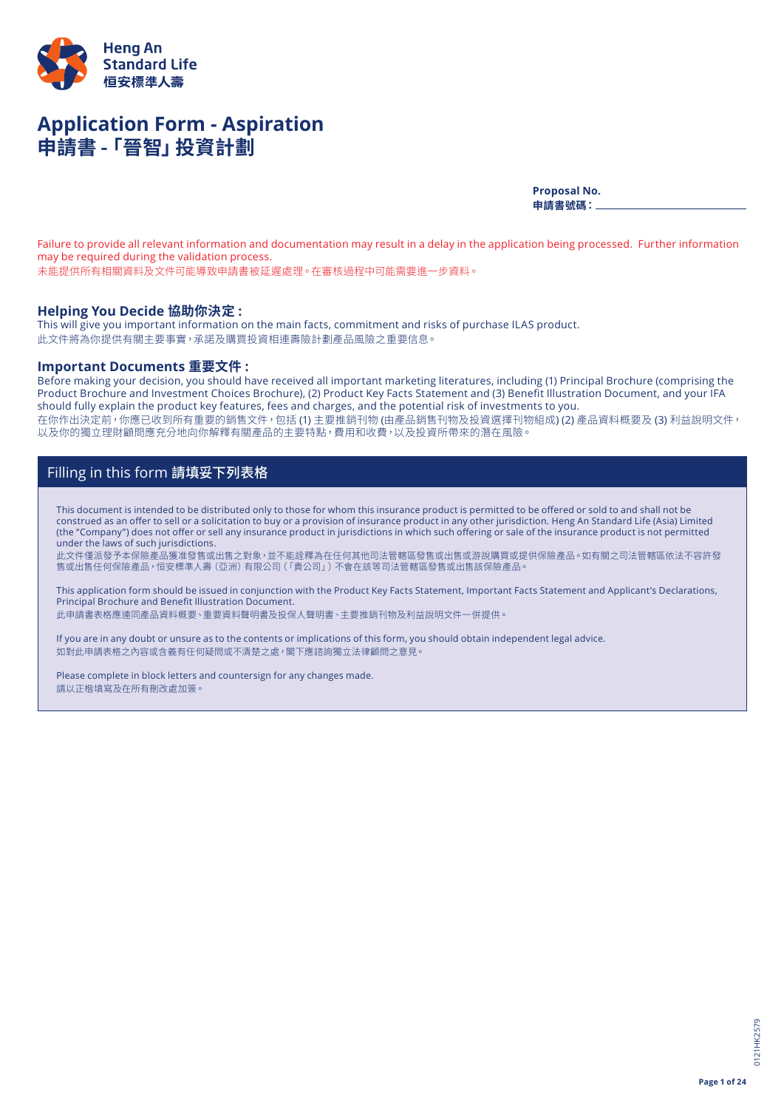

# **Application Form - Aspiration 申請書 -「晉智」投資計劃**

**Proposal No. 申請書號碼:**

Failure to provide all relevant information and documentation may result in a delay in the application being processed. Further information may be required during the validation process.

未能提供所有相關資料及文件可能導致申請書被延遲處理。在審核過程中可能需要進一步資料。

### **Helping You Decide 協助你決定 :**

This will give you important information on the main facts, commitment and risks of purchase ILAS product. 此文件將為你提供有關主要事實,承諾及購買投資相連壽險計劃產品風險之重要信息。

## **Important Documents 重要文件 :**

Before making your decision, you should have received all important marketing literatures, including (1) Principal Brochure (comprising the Product Brochure and Investment Choices Brochure), (2) Product Key Facts Statement and (3) Benefit Illustration Document, and your IFA should fully explain the product key features, fees and charges, and the potential risk of investments to you. 在你作出決定前,你應已收到所有重要的銷售文件,包括 (1) 主要推銷刊物 (由產品銷售刊物及投資選擇刊物組成) (2) 產品資料概要及 (3) 利益說明文件, 以及你的獨立理財顧問應充分地向你解釋有關產品的主要特點,費用和收費,以及投資所帶來的潛在風險。

## Filling in this form 請填妥下列表格

This document is intended to be distributed only to those for whom this insurance product is permitted to be offered or sold to and shall not be construed as an offer to sell or a solicitation to buy or a provision of insurance product in any other jurisdiction. Heng An Standard Life (Asia) Limited (the "Company") does not offer or sell any insurance product in jurisdictions in which such offering or sale of the insurance product is not permitted under the laws of such jurisdictions.

此文件僅派發予本保險產品獲准發售或出售之對象,並不能詮釋為在任何其他司法管轄區發售或出售或游說購買或提供保險產品。如有關之司法管轄區依法不容許發 售或出售任何保險產品,恒安標準人壽(亞洲)有限公司(「貴公司」)不會在該等司法管轄區發售或出售該保險產品。

This application form should be issued in conjunction with the Product Key Facts Statement, Important Facts Statement and Applicant's Declarations, Principal Brochure and Benefit Illustration Document.

此申請書表格應連同產品資料概要、重要資料聲明書及投保人聲明書、主要推銷刊物及利益說明文件一併提供。

If you are in any doubt or unsure as to the contents or implications of this form, you should obtain independent legal advice. 如對此申請表格之內容或含義有任何疑問或不清楚之處,閣下應諮詢獨立法律顧問之意見。

Please complete in block letters and countersign for any changes made. 請以正楷填寫及在所有刪改處加簽。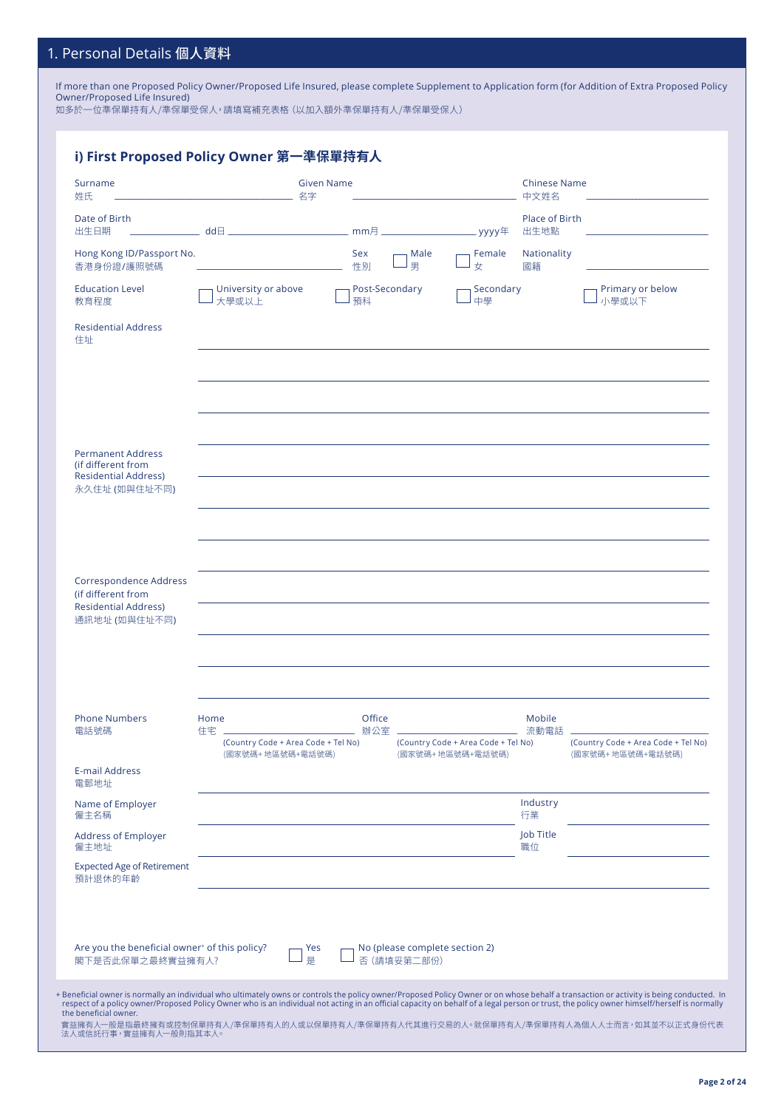## 1. Personal Details 個人資料

If more than one Proposed Policy Owner/Proposed Life Insured, please complete Supplement to Application form (for Addition of Extra Proposed Policy Owner/Proposed Life Insured)

如多於一位準保單持有人/準保單受保人,請填寫補充表格(以加入額外準保單持有人/準保單受保人)

| Surname<br>姓氏                                                                                  | <b>Given Name</b><br>名字                                       |                      |                                               | <b>Chinese Name</b><br>中文姓名                             |                        |                                                         |
|------------------------------------------------------------------------------------------------|---------------------------------------------------------------|----------------------|-----------------------------------------------|---------------------------------------------------------|------------------------|---------------------------------------------------------|
| Date of Birth<br>出生日期                                                                          |                                                               |                      |                                               |                                                         | Place of Birth<br>出生地點 |                                                         |
| Hong Kong ID/Passport No.<br>香港身份證/護照號碼                                                        |                                                               | Sex<br>性別            | Male<br>男                                     | Female<br>女                                             | Nationality<br>國籍      |                                                         |
| <b>Education Level</b><br>教育程度                                                                 | University or above<br>大學或以上                                  | Post-Secondary<br>預科 |                                               | Secondary<br>中學                                         |                        | Primary or below<br>小學或以下                               |
| <b>Residential Address</b><br>住址                                                               |                                                               |                      |                                               |                                                         |                        |                                                         |
|                                                                                                |                                                               |                      |                                               |                                                         |                        |                                                         |
| <b>Permanent Address</b><br>(if different from<br><b>Residential Address)</b><br>永久住址 (如與住址不同) |                                                               |                      |                                               |                                                         |                        |                                                         |
|                                                                                                |                                                               |                      |                                               |                                                         |                        |                                                         |
| Correspondence Address<br>(if different from<br><b>Residential Address)</b><br>通訊地址 (如與住址不同)   |                                                               |                      |                                               |                                                         |                        |                                                         |
| <b>Phone Numbers</b>                                                                           | Home                                                          | Office               |                                               |                                                         | Mobile                 |                                                         |
| 電話號碼                                                                                           | 住宅<br>(Country Code + Area Code + Tel No)<br>(國家號碼+地區號碼+電話號碼) | 辦公室                  |                                               | (Country Code + Area Code + Tel No)<br>(國家號碼+地區號碼+電話號碼) | 流動電話                   | (Country Code + Area Code + Tel No)<br>(國家號碼+地區號碼+電話號碼) |
| <b>E-mail Address</b><br>雷郵地址                                                                  |                                                               |                      |                                               |                                                         |                        |                                                         |
| Name of Employer<br>僱主名稱                                                                       |                                                               |                      |                                               |                                                         | Industry<br>行業         |                                                         |
| <b>Address of Employer</b><br>僱主地址                                                             |                                                               |                      |                                               |                                                         | Job Title<br>職位        |                                                         |
| <b>Expected Age of Retirement</b><br>預計退休的年齡                                                   |                                                               |                      |                                               |                                                         |                        |                                                         |
| Are you the beneficial owner <sup>+</sup> of this policy?<br>閣下是否此保單之最終實益擁有人?                  | Yes<br>是                                                      |                      | No (please complete section 2)<br>否 (請填妥第二部份) |                                                         |                        |                                                         |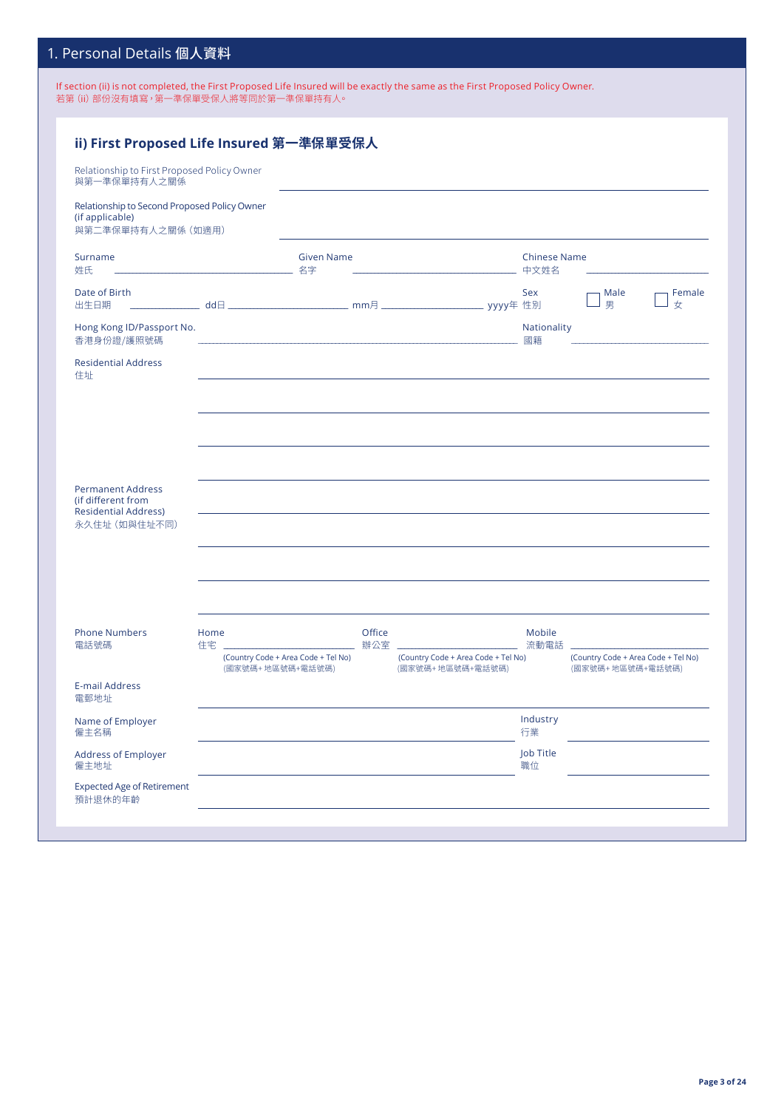## 1. Personal Details 個人資料

If section (ii) is not completed, the First Proposed Life Insured will be exactly the same as the First Proposed Policy Owner. 若第 (ii) 部份沒有填寫,第一準保單受保人將等同於第一準保單持有人。

| Relationship to First Proposed Policy Owner                                                    |                                                         | ii) First Proposed Life Insured 第一準保單受保人 |                                                                                                                  |                                |                                                         |             |
|------------------------------------------------------------------------------------------------|---------------------------------------------------------|------------------------------------------|------------------------------------------------------------------------------------------------------------------|--------------------------------|---------------------------------------------------------|-------------|
| 與第一準保單持有人之關係                                                                                   |                                                         |                                          |                                                                                                                  |                                |                                                         |             |
| Relationship to Second Proposed Policy Owner<br>(if applicable)<br>與第二準保單持有人之關係 (如適用)          |                                                         |                                          |                                                                                                                  |                                |                                                         |             |
| Surname<br>姓氏                                                                                  |                                                         | <b>Given Name</b>                        |                                                                                                                  | <b>Chinese Name</b>            |                                                         |             |
| Date of Birth<br>出生日期                                                                          |                                                         |                                          |                                                                                                                  | Sex                            | Male<br>男                                               | Female<br>女 |
| Hong Kong ID/Passport No.<br>香港身份證/護照號碼                                                        |                                                         |                                          | and the control of the control of the control of the control of the control of the control of the control of the | Nationality<br>國籍              |                                                         |             |
| <b>Residential Address</b><br>住址                                                               |                                                         |                                          |                                                                                                                  |                                |                                                         |             |
| <b>Permanent Address</b><br>(if different from<br><b>Residential Address)</b><br>永久住址 (如與住址不同) |                                                         |                                          |                                                                                                                  |                                |                                                         |             |
| <b>Phone Numbers</b><br>電話號碼                                                                   | Home<br>住宅」                                             | Office<br>辦公室 二                          |                                                                                                                  | Mobile<br><b>________</b> 流動電話 |                                                         |             |
|                                                                                                | (Country Code + Area Code + Tel No)<br>(國家號碼+地區號碼+電話號碼) |                                          | (Country Code + Area Code + Tel No)<br>(國家號碼+地區號碼+電話號碼)                                                          |                                | (Country Code + Area Code + Tel No)<br>(國家號碼+地區號碼+電話號碼) |             |
| <b>E-mail Address</b><br>電郵地址                                                                  |                                                         |                                          |                                                                                                                  |                                |                                                         |             |
| Name of Employer<br>僱主名稱                                                                       |                                                         |                                          |                                                                                                                  | Industry<br>行業                 |                                                         |             |
| <b>Address of Employer</b><br>僱主地址                                                             |                                                         |                                          |                                                                                                                  | Job Title<br>職位                |                                                         |             |
| <b>Expected Age of Retirement</b><br>預計退休的年齡                                                   |                                                         |                                          |                                                                                                                  |                                |                                                         |             |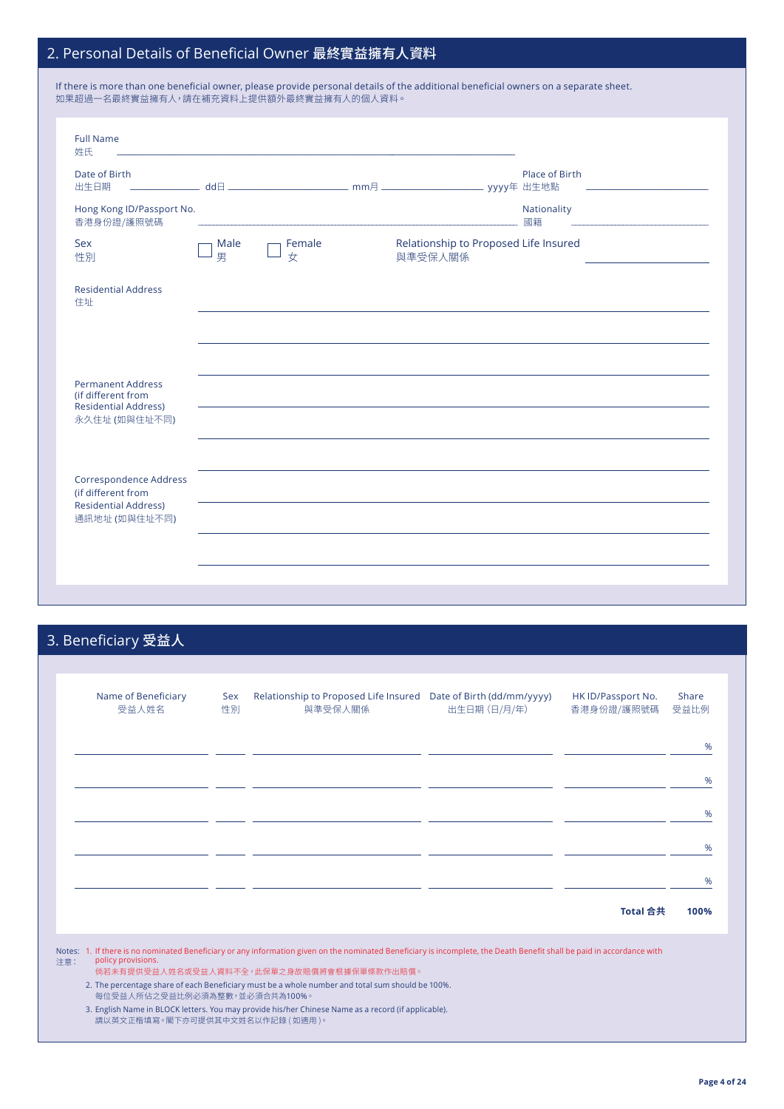# 2. Personal Details of Beneficial Owner 最終實益擁有人資料

| If there is more than one beneficial owner, please provide personal details of the additional beneficial owners on a separate sheet. |
|--------------------------------------------------------------------------------------------------------------------------------------|
| 如果超過一名最終實益擁有人,請在補充資料上提供額外最終實益擁有人的個人資料。                                                                                               |

|                           |             |         | Place of Birth    |                                       |
|---------------------------|-------------|---------|-------------------|---------------------------------------|
| Hong Kong ID/Passport No. |             |         | Nationality<br>國籍 |                                       |
| Male<br>男                 | Female<br>女 | 與準受保人關係 |                   |                                       |
|                           |             |         |                   |                                       |
|                           |             |         |                   |                                       |
|                           |             |         |                   |                                       |
|                           |             |         |                   |                                       |
|                           |             |         |                   |                                       |
|                           |             |         |                   | Relationship to Proposed Life Insured |

# 3. Beneficiary 受益人

| Name of Beneficiary<br>受益人姓名 | Sex<br>性別 | Relationship to Proposed Life Insured Date of Birth (dd/mm/yyyy)<br>與準受保人關係 | 出生日期 (日/月/年) | HK ID/Passport No.<br>香港身份證/護照號碼 | Share<br>受益比例 |
|------------------------------|-----------|-----------------------------------------------------------------------------|--------------|----------------------------------|---------------|
|                              |           |                                                                             |              |                                  | %             |
|                              |           |                                                                             |              |                                  | %             |
|                              |           |                                                                             |              |                                  | %             |
|                              |           |                                                                             |              |                                  | %             |
|                              |           |                                                                             |              |                                  | %             |
|                              |           |                                                                             |              | Total 合共                         | 100%          |

3. English Name in BLOCK letters. You may provide his/her Chinese Name as a record (if applicable). 請以英文正楷填寫。閣下亦可提供其中文姓名以作記錄 ( 如適用 )。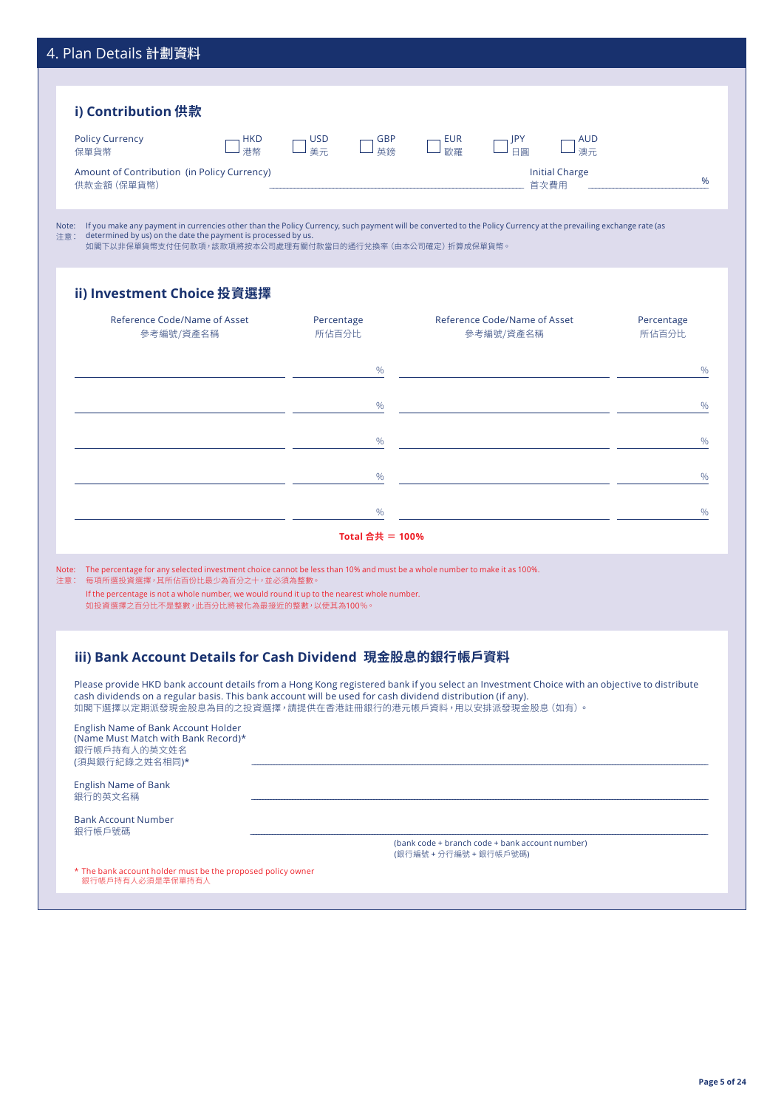| 4. Plan Details 計劃資料                                                                                                                                                                                                                                                                                                                                                                                                                                                                                                                                                                                                                 |                          |                                                 |                     |
|--------------------------------------------------------------------------------------------------------------------------------------------------------------------------------------------------------------------------------------------------------------------------------------------------------------------------------------------------------------------------------------------------------------------------------------------------------------------------------------------------------------------------------------------------------------------------------------------------------------------------------------|--------------------------|-------------------------------------------------|---------------------|
|                                                                                                                                                                                                                                                                                                                                                                                                                                                                                                                                                                                                                                      |                          |                                                 |                     |
| i) Contribution 供款                                                                                                                                                                                                                                                                                                                                                                                                                                                                                                                                                                                                                   |                          |                                                 |                     |
| <b>Policy Currency</b><br><b>HKD</b>                                                                                                                                                                                                                                                                                                                                                                                                                                                                                                                                                                                                 | <b>USD</b><br><b>GBP</b> | <b>EUR</b><br>JPY<br><b>AUD</b><br>日圓           |                     |
| 港幣<br>保單貨幣<br>Amount of Contribution (in Policy Currency)                                                                                                                                                                                                                                                                                                                                                                                                                                                                                                                                                                            | 英鎊<br>美元                 | 歐羅<br>澳元<br><b>Initial Charge</b>               |                     |
| 供款金額 (保單貨幣)                                                                                                                                                                                                                                                                                                                                                                                                                                                                                                                                                                                                                          |                          | 首次費用                                            | %                   |
| Note: If you make any payment in currencies other than the Policy Currency, such payment will be converted to the Policy Currency at the prevailing exchange rate (as<br>determined by us) on the date the payment is processed by us.<br>注意:<br>如閣下以非保單貨幣支付任何款項,該款項將按本公司處理有關付款當日的通行兌換率(由本公司確定)折算成保單貨幣。                                                                                                                                                                                                                                                                                                                              |                          |                                                 |                     |
| ii) Investment Choice 投資選擇                                                                                                                                                                                                                                                                                                                                                                                                                                                                                                                                                                                                           |                          |                                                 |                     |
| Reference Code/Name of Asset<br>參考編號/資產名稱                                                                                                                                                                                                                                                                                                                                                                                                                                                                                                                                                                                            | Percentage<br>所佔百分比      | Reference Code/Name of Asset<br>參考編號/資產名稱       | Percentage<br>所佔百分比 |
|                                                                                                                                                                                                                                                                                                                                                                                                                                                                                                                                                                                                                                      |                          |                                                 |                     |
|                                                                                                                                                                                                                                                                                                                                                                                                                                                                                                                                                                                                                                      | %                        |                                                 | $\%$                |
|                                                                                                                                                                                                                                                                                                                                                                                                                                                                                                                                                                                                                                      | %                        |                                                 | %                   |
|                                                                                                                                                                                                                                                                                                                                                                                                                                                                                                                                                                                                                                      | %                        |                                                 | %                   |
|                                                                                                                                                                                                                                                                                                                                                                                                                                                                                                                                                                                                                                      |                          |                                                 |                     |
|                                                                                                                                                                                                                                                                                                                                                                                                                                                                                                                                                                                                                                      | $\%$                     |                                                 | $\%$                |
|                                                                                                                                                                                                                                                                                                                                                                                                                                                                                                                                                                                                                                      | $\%$                     |                                                 | $\frac{0}{0}$       |
|                                                                                                                                                                                                                                                                                                                                                                                                                                                                                                                                                                                                                                      | Total 合共 = 100%          |                                                 |                     |
| Note: The percentage for any selected investment choice cannot be less than 10% and must be a whole number to make it as 100%.<br>注意: 每項所選投資選擇,其所佔百份比最少為百分之十,並必須為整數。<br>If the percentage is not a whole number, we would round it up to the nearest whole number.<br>如投資選擇之百分比不是整數,此百分比將被化為最接近的整數,以使其為100%。<br>iii) Bank Account Details for Cash Dividend 現金股息的銀行帳戶資料<br>Please provide HKD bank account details from a Hong Kong registered bank if you select an Investment Choice with an objective to distribute<br>cash dividends on a regular basis. This bank account will be used for cash dividend distribution (if any). |                          |                                                 |                     |
| 如閣下選擇以定期派發現金股息為目的之投資選擇,請提供在香港註冊銀行的港元帳戶資料,用以安排派發現金股息(如有)。<br>English Name of Bank Account Holder<br>(Name Must Match with Bank Record)*<br>銀行帳戶持有人的英文姓名                                                                                                                                                                                                                                                                                                                                                                                                                                                                               |                          |                                                 |                     |
| (須與銀行紀錄之姓名相同)*                                                                                                                                                                                                                                                                                                                                                                                                                                                                                                                                                                                                                       |                          |                                                 |                     |
| <b>English Name of Bank</b><br>銀行的英文名稱                                                                                                                                                                                                                                                                                                                                                                                                                                                                                                                                                                                               |                          |                                                 |                     |
| <b>Bank Account Number</b><br>銀行帳戶號碼                                                                                                                                                                                                                                                                                                                                                                                                                                                                                                                                                                                                 |                          | (bank code + branch code + bank account number) |                     |
|                                                                                                                                                                                                                                                                                                                                                                                                                                                                                                                                                                                                                                      |                          | (銀行編號 + 分行編號 + 銀行帳戶號碼)                          |                     |
| * The bank account holder must be the proposed policy owner                                                                                                                                                                                                                                                                                                                                                                                                                                                                                                                                                                          |                          |                                                 |                     |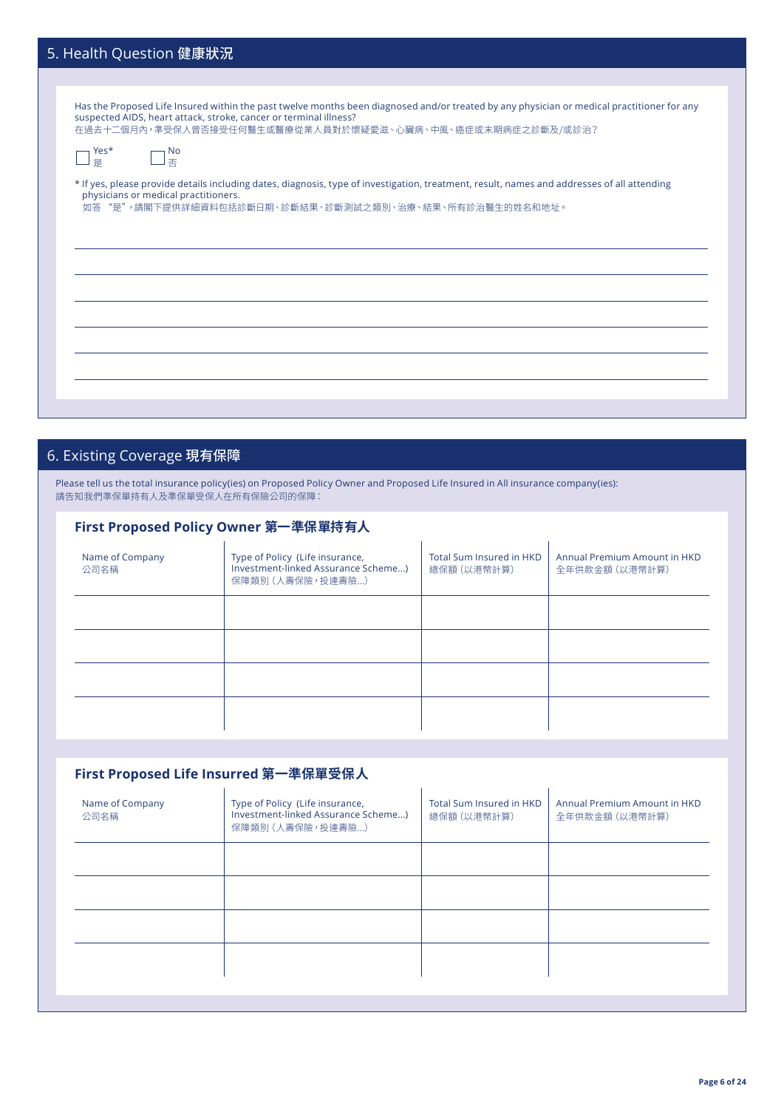| 5. Health Question 健康狀況                                                                                                                                                                                                                                                       |
|-------------------------------------------------------------------------------------------------------------------------------------------------------------------------------------------------------------------------------------------------------------------------------|
|                                                                                                                                                                                                                                                                               |
| Has the Proposed Life Insured within the past twelve months been diagnosed and/or treated by any physician or medical practitioner for any<br>suspected AIDS, heart attack, stroke, cancer or terminal illness?<br>在過去十二個月內,準受保人曾否接受任何醫生或醫療從業人員對於懷疑愛滋、心臟病、中風、癌症或末期病症之診斷及/或診治? |
| Yes*<br><sub>l</sub> No<br>香<br>是                                                                                                                                                                                                                                             |
| * If yes, please provide details including dates, diagnosis, type of investigation, treatment, result, names and addresses of all attending<br>physicians or medical practitioners.<br>如答 "是",請閣下提供詳細資料包括診斷日期、診斷結果、診斷測試之類別、治療、結果、所有診治醫生的姓名和地址。                                |
|                                                                                                                                                                                                                                                                               |
|                                                                                                                                                                                                                                                                               |
|                                                                                                                                                                                                                                                                               |

# 6. Existing Coverage 現有保障

Please tell us the total insurance policy(ies) on Proposed Policy Owner and Proposed Life Insured in All insurance company(ies): 請告知我們準保單持有人及準保單受保人在所有保險公司的保障:

| First Proposed Policy Owner 第一準保單持有人 |                                                                                            |                                         |                                                |  |  |  |
|--------------------------------------|--------------------------------------------------------------------------------------------|-----------------------------------------|------------------------------------------------|--|--|--|
| Name of Company<br>公司名稱              | Type of Policy (Life insurance,<br>Investment-linked Assurance Scheme)<br>保障類別 (人壽保險,投連壽險) | Total Sum Insured in HKD<br>總保額 (以港幣計算) | Annual Premium Amount in HKD<br>全年供款金額 (以港幣計算) |  |  |  |
|                                      |                                                                                            |                                         |                                                |  |  |  |
|                                      |                                                                                            |                                         |                                                |  |  |  |
|                                      |                                                                                            |                                         |                                                |  |  |  |
|                                      |                                                                                            |                                         |                                                |  |  |  |

## **First Proposed Life Insurred 第一準保單受保人**

| Name of Company<br>公司名稱 | Type of Policy (Life insurance,<br>Investment-linked Assurance Scheme)<br>保障類別 (人壽保險, 投連壽險) | <b>Total Sum Insured in HKD</b><br>總保額 (以港幣計算) | Annual Premium Amount in HKD<br>全年供款金額 (以港幣計算) |
|-------------------------|---------------------------------------------------------------------------------------------|------------------------------------------------|------------------------------------------------|
|                         |                                                                                             |                                                |                                                |
|                         |                                                                                             |                                                |                                                |
|                         |                                                                                             |                                                |                                                |
|                         |                                                                                             |                                                |                                                |
|                         |                                                                                             |                                                |                                                |

l.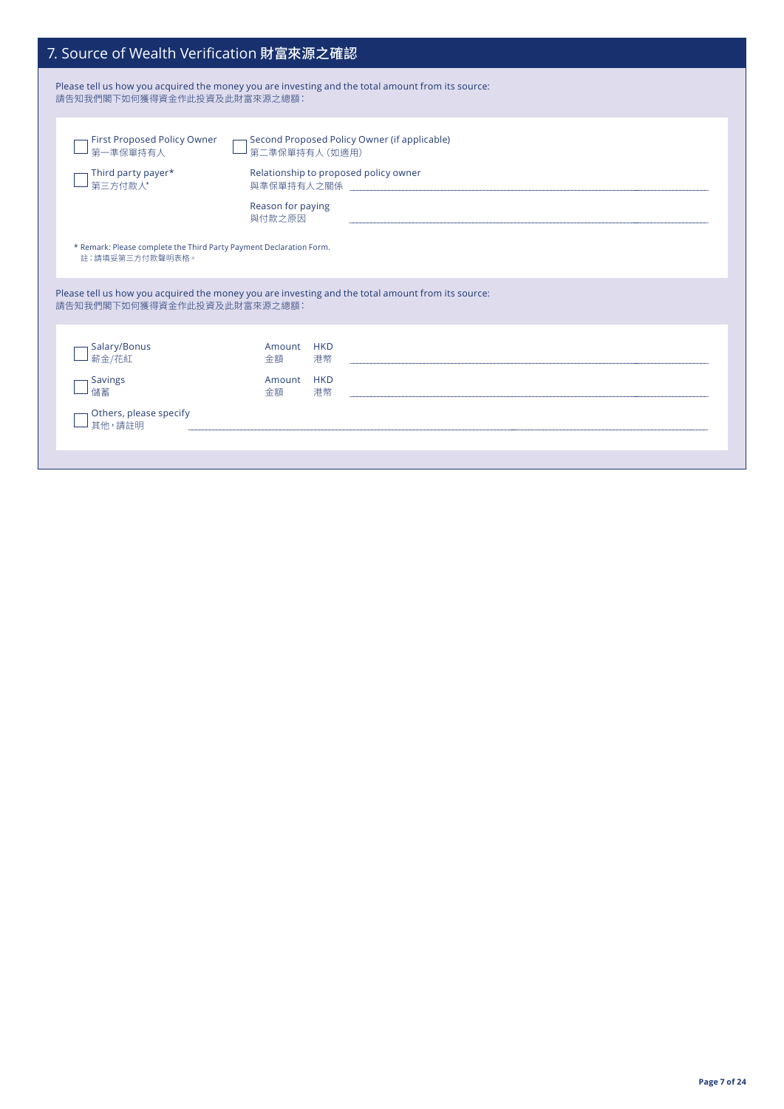| 7. Source of Wealth Verification 財富來源之確認                                               |                                                                                                                                                                                                                                                                                                                                                                         |  |  |  |  |
|----------------------------------------------------------------------------------------|-------------------------------------------------------------------------------------------------------------------------------------------------------------------------------------------------------------------------------------------------------------------------------------------------------------------------------------------------------------------------|--|--|--|--|
| 請告知我們閣下如何獲得資金作此投資及此財富來源之總額:                                                            | Please tell us how you acquired the money you are investing and the total amount from its source:                                                                                                                                                                                                                                                                       |  |  |  |  |
| First Proposed Policy Owner<br>第一準保單持有人<br>Third party payer*<br>第三方付款人*               | Second Proposed Policy Owner (if applicable)<br>第二準保單持有人 (如適用)<br>Relationship to proposed policy owner<br>Reason for paying<br>與付款之原因<br>the control of the control of the control of the control of the control of the control of the control of the control of the control of the control of the control of the control of the control of the control of the control |  |  |  |  |
| * Remark: Please complete the Third Party Payment Declaration Form.<br>註:請填妥第三方付款聲明表格。 |                                                                                                                                                                                                                                                                                                                                                                         |  |  |  |  |
| 請告知我們閣下如何獲得資金作此投資及此財富來源之總額:                                                            | Please tell us how you acquired the money you are investing and the total amount from its source:                                                                                                                                                                                                                                                                       |  |  |  |  |
| Salary/Bonus<br>薪金/花紅<br><b>Savings</b><br>儲蓄<br>Others, please specify                | Amount HKD<br>港幣<br>金額<br>Amount HKD<br>港幣<br>金額                                                                                                                                                                                                                                                                                                                        |  |  |  |  |
| 其他,請註明                                                                                 | and the control of the control of the control of the control of the control of the control of the control of the                                                                                                                                                                                                                                                        |  |  |  |  |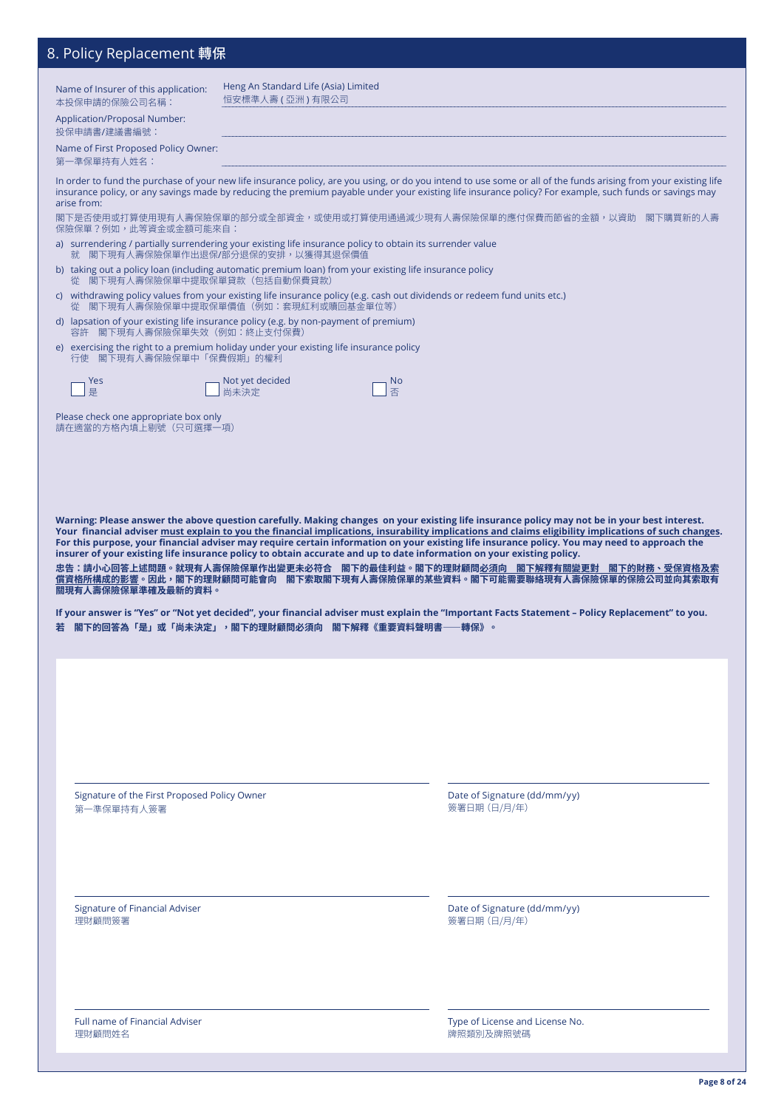## 8. Policy Replacement 轉保

| ɔ. r ʊlicy replacement <del>特</del> 体                                                                                              |                                                         |                                                                                                                                                                                                                                                                                                                             |
|------------------------------------------------------------------------------------------------------------------------------------|---------------------------------------------------------|-----------------------------------------------------------------------------------------------------------------------------------------------------------------------------------------------------------------------------------------------------------------------------------------------------------------------------|
| Name of Insurer of this application:<br>本投保申請的保險公司名稱:                                                                              | Heng An Standard Life (Asia) Limited<br>恒安標準人壽 (亞洲)有限公司 |                                                                                                                                                                                                                                                                                                                             |
| Application/Proposal Number:<br>投保申請書/建議書編號:                                                                                       |                                                         |                                                                                                                                                                                                                                                                                                                             |
| Name of First Proposed Policy Owner:<br>第一準保單持有人姓名:                                                                                |                                                         |                                                                                                                                                                                                                                                                                                                             |
| arise from:                                                                                                                        |                                                         | In order to fund the purchase of your new life insurance policy, are you using, or do you intend to use some or all of the funds arising from your existing life<br>insurance policy, or any savings made by reducing the premium payable under your existing life insurance policy? For example, such funds or savings may |
| 保險保單?例如,此等資金或金額可能來自:<br>a) surrendering / partially surrendering your existing life insurance policy to obtain its surrender value |                                                         | 閣下是否使用或打算使用現有人壽保險保單的部分或全部資金,或使用或打算使用通過減少現有人壽保險保單的應付保費而節省的金額,以資助 閣下購買新的人壽                                                                                                                                                                                                                                                    |
| b) taking out a policy loan (including automatic premium loan) from your existing life insurance policy                            | 就 閣下現有人壽保險保單作出退保/部分退保的安排,以獲得其退保價值                       |                                                                                                                                                                                                                                                                                                                             |
| 從 閣下現有人壽保險保單中提取保單貸款(包括自動保費貸款)                                                                                                      |                                                         | c) withdrawing policy values from your existing life insurance policy (e.g. cash out dividends or redeem fund units etc.)                                                                                                                                                                                                   |
| d) lapsation of your existing life insurance policy (e.g. by non-payment of premium)                                               | 閣下現有人壽保險保單中提取保單價值(例如:套現紅利或贖回基金單位等)                      |                                                                                                                                                                                                                                                                                                                             |
| 容許 閣下現有人壽保險保單失效(例如:終止支付保費)<br>e) exercising the right to a premium holiday under your existing life insurance policy               |                                                         |                                                                                                                                                                                                                                                                                                                             |
| 行使 閣下現有人壽保險保單中「保費假期」的權利<br>Yes                                                                                                     | Not yet decided                                         | <b>No</b>                                                                                                                                                                                                                                                                                                                   |
| 是                                                                                                                                  | 尚未決定                                                    | 否                                                                                                                                                                                                                                                                                                                           |
| Please check one appropriate box only<br>請在適當的方格內填上剔號 (只可選擇一項)                                                                     |                                                         |                                                                                                                                                                                                                                                                                                                             |
|                                                                                                                                    |                                                         |                                                                                                                                                                                                                                                                                                                             |
|                                                                                                                                    |                                                         |                                                                                                                                                                                                                                                                                                                             |
|                                                                                                                                    |                                                         |                                                                                                                                                                                                                                                                                                                             |
|                                                                                                                                    |                                                         |                                                                                                                                                                                                                                                                                                                             |
|                                                                                                                                    |                                                         | Warning: Please answer the above question carefully. Making changes on your existing life insurance policy may not be in your best interest.<br>Your financial adviser must explain to you the financial implications, insurability implications and claims eligibility implications of such changes.                       |
|                                                                                                                                    |                                                         | For this purpose, your financial adviser may require certain information on your existing life insurance policy. You may need to approach the<br>insurer of your existing life insurance policy to obtain accurate and up to date information on your existing policy.                                                      |
|                                                                                                                                    |                                                         | 忠告:請小心回答上述問題。就現有人壽保險保單作出變更未必符合    閣下的最佳利益。閣下的理財顧問必須向    閣下解釋有關變更對    閣下的財務、受保資格及索<br>償資格所構成的影響。因此,閣下的理財顧問可能會向    閣下索取閣下現有人壽保險保單的某些資料。閣下可能需要聯絡現有人壽保險保單的保險公司並向其索取有                                                                                                                                                            |
| 關現有人壽保險保單準確及最新的資料。                                                                                                                 |                                                         | If your answer is "Yes" or "Not yet decided", your financial adviser must explain the "Important Facts Statement - Policy Replacement" to you.                                                                                                                                                                              |
| 若 閣下的回答為「是」或「尚未決定」,閣下的理財顧問必須向 閣下解釋《重要資料聲明書――轉保》。                                                                                   |                                                         |                                                                                                                                                                                                                                                                                                                             |
|                                                                                                                                    |                                                         |                                                                                                                                                                                                                                                                                                                             |
|                                                                                                                                    |                                                         |                                                                                                                                                                                                                                                                                                                             |
|                                                                                                                                    |                                                         |                                                                                                                                                                                                                                                                                                                             |
|                                                                                                                                    |                                                         |                                                                                                                                                                                                                                                                                                                             |
|                                                                                                                                    |                                                         |                                                                                                                                                                                                                                                                                                                             |
| Signature of the First Proposed Policy Owner<br>第一準保單持有人簽署                                                                         |                                                         | Date of Signature (dd/mm/yy)<br>簽署日期 (日/月/年)                                                                                                                                                                                                                                                                                |
|                                                                                                                                    |                                                         |                                                                                                                                                                                                                                                                                                                             |
|                                                                                                                                    |                                                         |                                                                                                                                                                                                                                                                                                                             |
|                                                                                                                                    |                                                         |                                                                                                                                                                                                                                                                                                                             |
| <b>Signature of Financial Adviser</b><br>理財顧問簽署                                                                                    |                                                         | Date of Signature (dd/mm/yy)<br>簽署日期 (日/月/年)                                                                                                                                                                                                                                                                                |
|                                                                                                                                    |                                                         |                                                                                                                                                                                                                                                                                                                             |
|                                                                                                                                    |                                                         |                                                                                                                                                                                                                                                                                                                             |

Full name of Financial Adviser 理財顧問姓名

Type of License and License No. 牌照類別<mark>及牌照號</mark>碼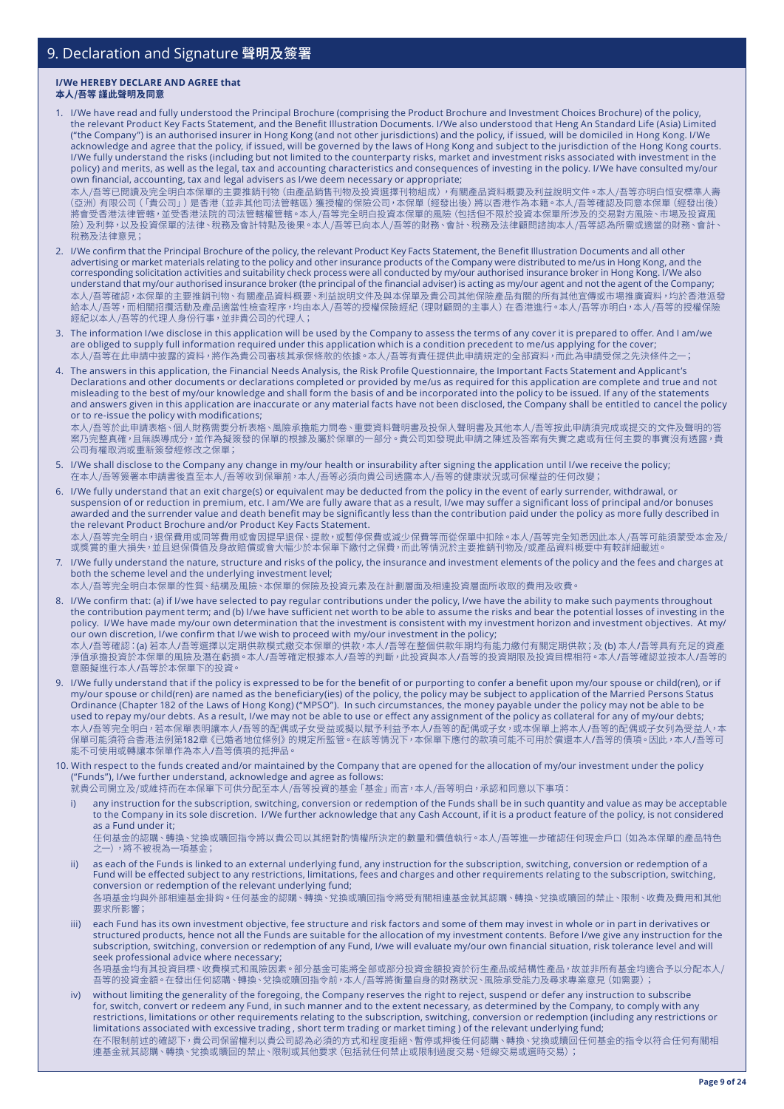#### **I/We HEREBY DECLARE AND AGREE that 本人/吾等 謹此聲明及同意**

1. I/We have read and fully understood the Principal Brochure (comprising the Product Brochure and Investment Choices Brochure) of the policy, the relevant Product Key Facts Statement, and the Benefit Illustration Documents. I/We also understood that Heng An Standard Life (Asia) Limited ("the Company") is an authorised insurer in Hong Kong (and not other jurisdictions) and the policy, if issued, will be domiciled in Hong Kong. I/We acknowledge and agree that the policy, if issued, will be governed by the laws of Hong Kong and subject to the jurisdiction of the Hong Kong courts. I/We fully understand the risks (including but not limited to the counterparty risks, market and investment risks associated with investment in the policy) and merits, as well as the legal, tax and accounting characteristics and consequences of investing in the policy. I/We have consulted my/our own financial, accounting, tax and legal advisers as I/we deem necessary or appropriate;

本人/吾等已閱讀及完全明白本保單的主要推銷刊物(由產品銷售刊物及投資選擇刊物組成),有關產品資料概要及利益說明文件。本人/吾等亦明白恒安標準人壽 (亞洲)有限公司(「貴公司」)是香港(並非其他司法管轄區)獲授權的保險公司,本保單(經發出後)將以香港作為本籍。本人/吾等確認及同意本保單(經發出 後) 將會受香港法律管轄,並受香港法院的司法管轄權管轄。本人/吾等完全明白投資本保單的風險(包括但不限於投資本保單所涉及的交易對方風險、市場及投資風 險)及利弊,以及投資保單的法律、稅務及會計特點及後果。本人/吾等已向本人/吾等的財務、會計、稅務及法律顧問諮詢本人/吾等認為所需或適當的財務、會計、 稅務及法律意見;

- 2. I/We confirm that the Principal Brochure of the policy, the relevant Product Key Facts Statement, the Benefit Illustration Documents and all other advertising or market materials relating to the policy and other insurance products of the Company were distributed to me/us in Hong Kong, and the corresponding solicitation activities and suitability check process were all conducted by my/our authorised insurance broker in Hong Kong. I/We also understand that my/our authorised insurance broker (the principal of the financial adviser) is acting as my/our agent and not the agent of the Company; 本人/吾等確認,本保單的主要推銷刊物、有關產品資料概要、利益說明文件及與本保單及貴公司其他保險產品有關的所有其他宣傳或市場推廣資料,均於香港派發 給本人/吾等,而相關招攬活動及產品適當性檢查程序,均由本人/吾等的授權保險經紀(理財顧問的主事人)在香港進行。本人/吾等亦明白,本人/吾等的授權保險 經紀以本人/吾等的代理人身份行事,並非貴公司的代理人;
- 3. The information I/we disclose in this application will be used by the Company to assess the terms of any cover it is prepared to offer. And I am/we are obliged to supply full information required under this application which is a condition precedent to me/us applying for the cover; 本人/吾等在此申請中披露的資料,將作為貴公司審核其承保條款的依據。本人/吾等有責任提供此申請規定的全部資料,而此為申請受保之先決條件之;
- 4. The answers in this application, the Financial Needs Analysis, the Risk Profile Questionnaire, the Important Facts Statement and Applicant's Declarations and other documents or declarations completed or provided by me/us as required for this application are complete and true and not misleading to the best of my/our knowledge and shall form the basis of and be incorporated into the policy to be issued. If any of the statements and answers given in this application are inaccurate or any material facts have not been disclosed, the Company shall be entitled to cancel the policy or to re-issue the policy with modifications;

本人/吾等於此申請表格、個人財務需要分析表格、風險承擔能力問卷、重要資料聲明書及投保人聲明書及其他本人/吾等按此申請須完成或提交的文件及聲明的答 案乃完整真確,且無誤導成分,並作為擬簽發的保單的根據及屬於保單的一部分。貴公司如發現此申請之陳述及答案有失實之處或有任何主要的事實沒有透露,貴 公司有權取消或重新簽發經修改之保單;

- 5. I/We shall disclose to the Company any change in my/our health or insurability after signing the application until I/we receive the policy; 在本人/吾等簽署本申請書後直至本人/吾等收到保單前,本人/吾等必須向貴公司透露本人/吾等的健康狀況或可保權益的任何改變;
- 6. I/We fully understand that an exit charge(s) or equivalent may be deducted from the policy in the event of early surrender, withdrawal, or suspension of or reduction in premium, etc. I am/We are fully aware that as a result, I/we may suffer a significant loss of principal and/or bonuses awarded and the surrender value and death benefit may be significantly less than the contribution paid under the policy as more fully described in the relevant Product Brochure and/or Product Key Facts Statement. 本人/吾等完全明白,退保費用或同等費用或會因提早退保、提款,或暫停保費或減少保費等而從保單中扣除。本人/吾等完全知悉因此本人/吾等可能須蒙受本金及/ 或獎賞的重大損失,並且退保價值及身故賠償或會大幅小於本保單下繳付之保費,而此等情況於主要推銷刊物及/或產品資料概要中有較詳細載述
- 7. I/We fully understand the nature, structure and risks of the policy, the insurance and investment elements of the policy and the fees and charges at both the scheme level and the underlying investment level; 本人/吾等完全明白本保單的性質、結構及風險、本保單的保險及投資元素及在計劃層面及相連投資層面所收取的費用及收費。
- 8. I/We confirm that: (a) if I/we have selected to pay regular contributions under the policy, I/we have the ability to make such payments throughout the contribution payment term; and (b) I/we have sufficient net worth to be able to assume the risks and bear the potential losses of investing in the policy. I/We have made my/our own determination that the investment is consistent with my investment horizon and investment objectives. At my/ our own discretion, I/we confirm that I/we wish to proceed with my/our investment in the policy; 本人/吾等確認:(a) 若本人/吾等選擇以定期供款模式繳交本保單的供款,本人/吾等在整個供款年期均有能力繳付有關定期供款;及 (b) 本人/吾等具有充足的資產 淨值承擔投資於本保單的風險及潛在虧損。本人/吾等確定根據本人/吾等的判斷,此投資與本人/吾等的投資期限及投資目標相符。本人/吾等確認並按本人/吾等的 意願擬進行本人/吾等於本保單下的投資。
- 9. I/We fully understand that if the policy is expressed to be for the benefit of or purporting to confer a benefit upon my/our spouse or child(ren), or if my/our spouse or child(ren) are named as the beneficiary(ies) of the policy, the policy may be subject to application of the Married Persons Status Ordinance (Chapter 182 of the Laws of Hong Kong) ("MPSO"). In such circumstances, the money payable under the policy may not be able to be used to repay my/our debts. As a result, I/we may not be able to use or effect any assignment of the policy as collateral for any of my/our debts; 本人/吾等完全明白,若本保單表明讓本人/吾等的配偶或子女受益或擬以賦予利益予本人/吾等的配偶或子女,或本保單上將本人/吾等的配偶或子女列為受益人,本 保單可能須符合香港法例第182章《已婚者地位條例》的規定所監管。在該等情況下,本保單下應付的款項可能不可用於償還本人/吾等的債項。因此,本人/吾等可 能不可使用或轉讓本保單作為本人/吾等債項的抵押品。
- 10. With respect to the funds created and/or maintained by the Company that are opened for the allocation of my/our investment under the policy ("Funds"), I/we further understand, acknowledge and agree as follows:
	- 就貴公司開立及/或維持而在本保單下可供分配至本人/吾等投資的基金「基金」而言,本人/吾等明白,承認和同意以下事項:
	- i) any instruction for the subscription, switching, conversion or redemption of the Funds shall be in such quantity and value as may be acceptable to the Company in its sole discretion. I/We further acknowledge that any Cash Account, if it is a product feature of the policy, is not considered as a Fund under it;

任何基金的認購、轉換、兌換或贖回指令將以貴公司以其絕對酌情權所決定的數量和價值執行。本人/吾等進一步確認任何現金戶口(如為本保單的產品特色 之一),將不被視為一項基金;

- as each of the Funds is linked to an external underlying fund, any instruction for the subscription, switching, conversion or redemption of a Fund will be effected subject to any restrictions, limitations, fees and charges and other requirements relating to the subscription, switching, conversion or redemption of the relevant underlying fund; 各項基金均與外部相連基金掛鈎。任何基金的認購、轉換、兌換或贖回指令將受有關相連基金就其認購、轉換、兌換或贖回的禁止、限制、收費及費用和其他 要求所影響;
- each Fund has its own investment objective, fee structure and risk factors and some of them may invest in whole or in part in derivatives or structured products, hence not all the Funds are suitable for the allocation of my investment contents. Before I/we give any instruction for the subscription, switching, conversion or redemption of any Fund, I/we will evaluate my/our own financial situation, risk tolerance level and will seek professional advice where necessary; 各項基金均有其投資目標、收費模式和風險因素。部分基金可能將全部或部分投資金額投資於衍生產品或結構性產品,故並非所有基金均適合予以分配本人/ 吾等的投資金額。在發出任何認購、轉換、兌換或贖回指令前,本人/吾等將衡量自身的財務狀況、風險承受能力及尋求專業意見(如需要);
- iv) without limiting the generality of the foregoing, the Company reserves the right to reject, suspend or defer any instruction to subscribe for, switch, convert or redeem any Fund, in such manner and to the extent necessary, as determined by the Company, to comply with any restrictions, limitations or other requirements relating to the subscription, switching, conversion or redemption (including any restrictions or limitations associated with excessive trading , short term trading or market timing ) of the relevant underlying fund; 在不限制前述的確認下,責公司保留權利以責公司認為必須的万式和程度拒絶、暫停或押後仕何認購、轉換、兌換或贖回仕何基金的指令以符合仕何有關<mark>相</mark> 連基金就其認購、轉換、兌換或贖回的禁止、限制或其他要求(包括就任何禁止或限制過度交易、短線交易或選時交易);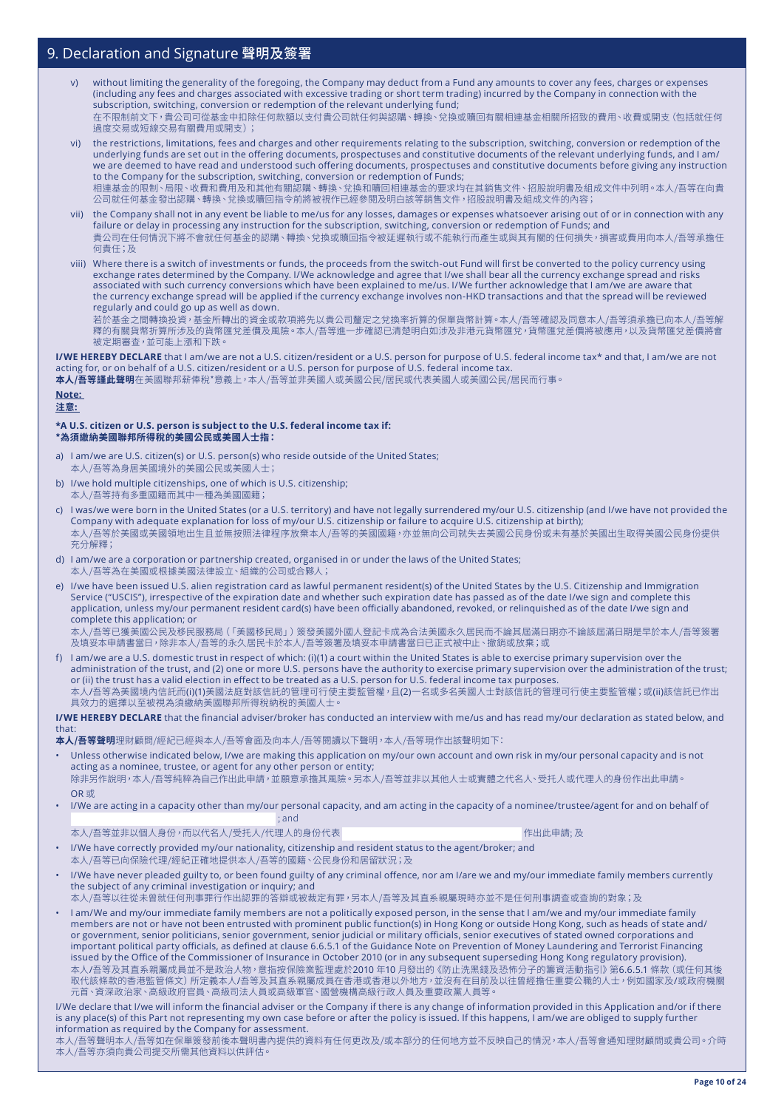- v) without limiting the generality of the foregoing, the Company may deduct from a Fund any amounts to cover any fees, charges or expenses (including any fees and charges associated with excessive trading or short term trading) incurred by the Company in connection with the subscription, switching, conversion or redemption of the relevant underlying fund; 在不限制前文下,貴公司可從基金中扣除任何款額以支付貴公司就任何與認購、轉換、兌換或贖回有關相連基金相關所招致的費用、收費或開支(包括就任何 過度交易或短線交易有關費用或開支);
- vi) the restrictions, limitations, fees and charges and other requirements relating to the subscription, switching, conversion or redemption of the underlying funds are set out in the offering documents, prospectuses and constitutive documents of the relevant underlying funds, and I am/ we are deemed to have read and understood such offering documents, prospectuses and constitutive documents before giving any instruction to the Company for the subscription, switching, conversion or redemption of Funds; 相連基金的限制、局限、收費和費用及和其他有關認購、轉換、兌換和贖回相連基金的要求均在其銷售文件、招股說明書及組成文件中列明。本人/吾等在向貴 公司就任何基金發出認購、轉換、兌換或贖回指令前將被視作已經參閱及明白該等銷售文件,招股說明書及組成文件的內容;
- vii) the Company shall not in any event be liable to me/us for any losses, damages or expenses whatsoever arising out of or in connection with any failure or delay in processing any instruction for the subscription, switching, conversion or redemption of Funds; and 貴公司在任何情況下將不會就任何基金的認購、轉換、兌換或贖回指令被延遲執行或不能執行而產生或與其有關的任何損失,損害或費用向本人/吾等承擔任 何責任;及
- viii) Where there is a switch of investments or funds, the proceeds from the switch-out Fund will first be converted to the policy currency using exchange rates determined by the Company. I/We acknowledge and agree that I/we shall bear all the currency exchange spread and risks associated with such currency conversions which have been explained to me/us. I/We further acknowledge that I am/we are aware that the currency exchange spread will be applied if the currency exchange involves non-HKD transactions and that the spread will be reviewed regularly and could go up as well as down.

若於基金之間轉換投資,基金所轉出的資金或款項將先以貴公司釐定之兌換率折算的保單貨幣計算。本人/吾等確認及同意本人/吾等須承擔已向本人/吾等解 釋的有關貨幣折算所涉及的貨幣匯兌差價及風險。本人/吾等進一步確認已清楚明白如涉及非港元貨幣匯兌,貨幣匯兌差價將被應用,以及貨幣匯兌差價將會 被定期審查,並可能上漲和下跌。

**I/WE HEREBY DECLARE** that I am/we are not a U.S. citizen/resident or a U.S. person for purpose of U.S. federal income tax\* and that, I am/we are not acting for, or on behalf of a U.S. citizen/resident or a U.S. person for purpose of U.S. federal income tax.

**本人/吾等謹此聲明**在美國聯邦薪俸稅\*意義上,本人/吾等並非美國人或美國公民/居民或代表美國人或美國公民/居民而行事。

#### **Note: 注意:**

#### **\*A U.S. citizen or U.S. person is subject to the U.S. federal income tax if: \*為須繳納美國聯邦所得稅的美國公民或美國人士指:**

- I am/we are U.S. citizen(s) or U.S. person(s) who reside outside of the United States; 本人/吾等為身居美國境外的美國公民或美國人士;
- b) I/we hold multiple citizenships, one of which is U.S. citizenship; 本人/吾等持有多重國籍而其中一種為美國國籍;
- c) I was/we were born in the United States (or a U.S. territory) and have not legally surrendered my/our U.S. citizenship (and I/we have not provided the Company with adequate explanation for loss of my/our U.S. citizenship or failure to acquire U.S. citizenship at birth); 本人/吾等於美國或美國領地出生且並無按照法律程序放棄本人/吾等的美國國籍,亦並無向公司就失去美國公民身份或未有基於美國出生取得美國公民身份提供 充分解釋;
- d) I am/we are a corporation or partnership created, organised in or under the laws of the United States; 本人/吾等為在美國或根據美國法律設立、組織的公司或合夥人;
- e) I/we have been issued U.S. alien registration card as lawful permanent resident(s) of the United States by the U.S. Citizenship and Immigration Service ("USCIS"), irrespective of the expiration date and whether such expiration date has passed as of the date I/we sign and complete this application, unless my/our permanent resident card(s) have been officially abandoned, revoked, or relinquished as of the date I/we sign and complete this application; or

本人/吾等已獲美國公民及移民服務局(「美國移民局」)簽發美國外國人登記卡成為合法美國永久居民而不論其屆滿日期亦不論該屆滿日期是早於本人/吾等簽署 及填妥本申請書當日,除非本人/吾等的永久居民卡於本人/吾等簽署及填妥本申請書當日已正式被中止、撤銷或放棄;或

f) I am/we are a U.S. domestic trust in respect of which: (i)(1) a court within the United States is able to exercise primary supervision over the administration of the trust, and (2) one or more U.S. persons have the authority to exercise primary supervision over the administration of the trust; or (ii) the trust has a valid election in effect to be treated as a U.S. person for U.S. federal income tax purposes. 本人/吾等為美國境內信託而(i)(1)美國法庭對該信託的管理可行使主要監管權,且(2)一名或多名美國人士對該信託的管理可行使主要監管權;或(ii)該信託已作出 具效力的選擇以至被視為須繳納美國聯邦所得稅納稅的美國人士

**I/WE HEREBY DECLARE** that the financial adviser/broker has conducted an interview with me/us and has read my/our declaration as stated below, and that:

**本人/吾等聲明**理財顧問/經紀已經與本人/吾等會面及向本人/吾等閱讀以下聲明,本人/吾等現作出該聲明如下:

- Unless otherwise indicated below, I/we are making this application on my/our own account and own risk in my/our personal capacity and is not acting as a nominee, trustee, or agent for any other person or entity; 除非另作說明,本人/吾等純粹為自己作出此申請,並願意承擔其風險。另本人/吾等並非以其他人士或實體之代名人、受托人或代理人的身份作出此申請。 OR 或
- I/We are acting in a capacity other than my/our personal capacity, and am acting in the capacity of a nominee/trustee/agent for and on behalf of ; and
- 本人/吾等並非以個人身份,而以代名人/受托人/代理人的身份代表 (1999年) インディング 作出此申請; 及

- I/We have correctly provided my/our nationality, citizenship and resident status to the agent/broker; and 本人/吾等已向保險代理/經紀正確地提供本人/吾等的國籍、公民身份和居留狀況;及
- I/We have never pleaded guilty to, or been found guilty of any criminal offence, nor am I/are we and my/our immediate family members currently the subject of any criminal investigation or inquiry; and

本人/吾等以往從未曾就任何刑事罪行作出認罪的答辯或被裁定有罪,另本人/吾等及其直系親屬現時亦並不是任何刑事調查或查詢的對象;及

• I am/We and my/our immediate family members are not a politically exposed person, in the sense that I am/we and my/our immediate family members are not or have not been entrusted with prominent public function(s) in Hong Kong or outside Hong Kong, such as heads of state and/ or government, senior politicians, senior government, senior judicial or military officials, senior executives of stated owned corporations and important political party officials, as defined at clause 6.6.5.1 of the Guidance Note on Prevention of Money Laundering and Terrorist Financing issued by the Office of the Commissioner of Insurance in October 2010 (or in any subsequent superseding Hong Kong regulatory provision). 本人/吾等及其直系親屬成員並不是政治人物,意指按保險業監理處於2010 年10 月發出的《防止洗黑錢及恐怖分子的籌資活動指引》第6.6.5.1 條款(或任何其後 取代該條款的香港監管條文) 所定義本人/吾等及其直系親屬成員在香港或香港以外地方,並沒有在目前及以往曾經擔任重要公職的人士,例如國家及/或政府機關 元首、資深政治家、高級政府官員、高級司法人員或高級軍官、國營機構高級行政人員及重要政黨人員等。

I/We declare that I/we will inform the financial adviser or the Company if there is any change of information provided in this Application and/or if there is any place(s) of this Part not representing my own case before or after the policy is issued. If this happens, I am/we are obliged to supply further information as required by the Company for assessment.

-------------<br>本人/吾等聲明本人/吾等如在保單簽發前後本聲明書內提供的資料有任何更改及/或本部分的任何地方並不反映自己的情況,本人/吾等會通知理財顧問或貴公司。介時 本人/吾等亦須向貴公司提交所需其他資料以供評估。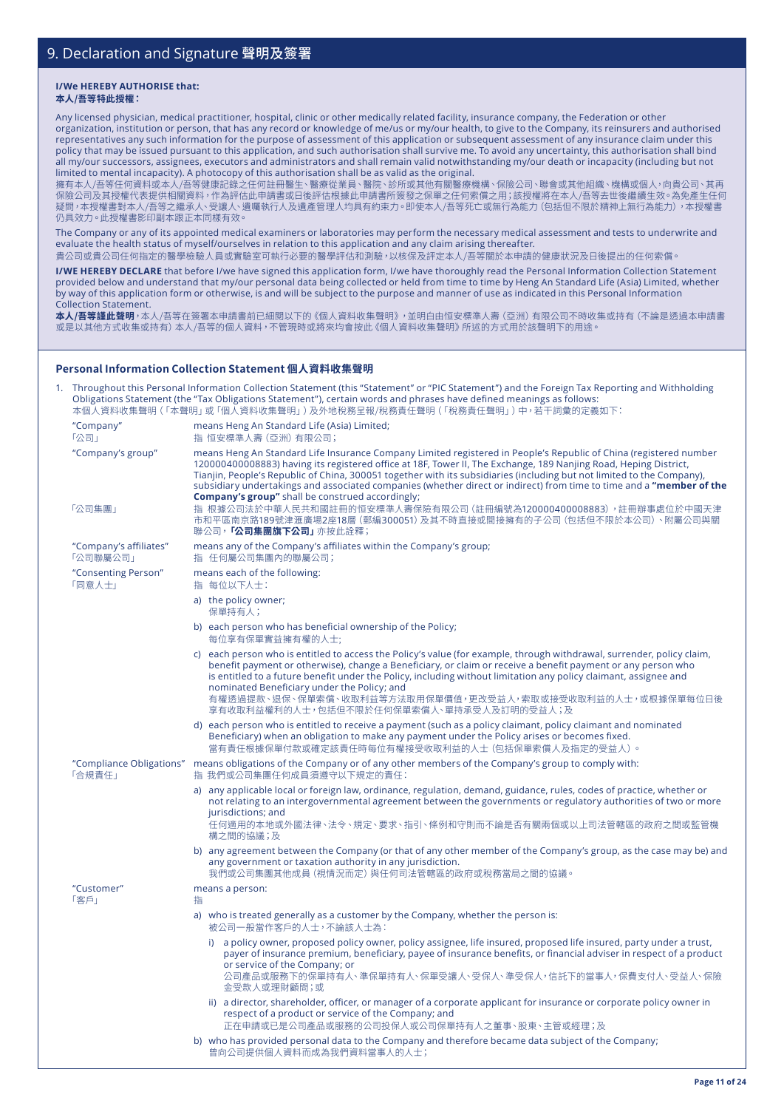#### **I/We HEREBY AUTHORISE that: 本人/吾等特此授權:**

Any licensed physician, medical practitioner, hospital, clinic or other medically related facility, insurance company, the Federation or other

organization, institution or person, that has any record or knowledge of me/us or my/our health, to give to the Company, its reinsurers and authorised representatives any such information for the purpose of assessment of this application or subsequent assessment of any insurance claim under this policy that may be issued pursuant to this application, and such authorisation shall survive me. To avoid any uncertainty, this authorisation shall bind all my/our successors, assignees, executors and administrators and shall remain valid notwithstanding my/our death or incapacity (including but not limited to mental incapacity). A photocopy of this authorisation shall be as valid as the original.

擁有本人/吾等任何資料或本人/吾等健康記錄之任何註冊醫生、醫療從業員、醫院、診所或其他有關醫療機構、保險公司、聯會或其他組織、機構或個人,向貴公司、其再 保險公司及其授權代表提供相關資料,作為評估此申請書或日後評估根據此申請書所簽發之保單之任何索償之用;該授權將在本人/吾等去世後繼續生效。為免產生任何 疑問,本授權書對本人/吾等之繼承人、受讓人、遺囑執行人及遺產管理人均具有約束力。即使本人/吾等死亡或無行為能力(包括但不限於精神上無行為能力),本授權書 仍具效力。此授權書影印副本跟正本同樣有效。

The Company or any of its appointed medical examiners or laboratories may perform the necessary medical assessment and tests to underwrite and evaluate the health status of myself/ourselves in relation to this application and any claim arising thereafter.

貴公司或貴公司任何指定的醫學檢驗人員或實驗室可執行必要的醫學評估和測驗,以核保及評定本人/吾等關於本申請的健康狀況及日後提出的任何索償。

**I/WE HEREBY DECLARE** that before I/we have signed this application form, I/we have thoroughly read the Personal Information Collection Statement provided below and understand that my/our personal data being collected or held from time to time by Heng An Standard Life (Asia) Limited, whether by way of this application form or otherwise, is and will be subject to the purpose and manner of use as indicated in this Personal Information Collection Statement.

**本人/吾等謹此聲明**,本人/吾等在簽署本申請書前已細閱以下的《個人資料收集聲明》,並明白由恒安標準人壽(亞洲)有限公司不時收集或持有(不論是透過本申請書 或是以其他方式收集或持有)本人/吾等的個人資料,不管現時或將來均會按此《個人資料收集聲明》所述的方式用於該聲明下的用途。

### **Personal Information Collection Statement 個人資料收集聲明**

| "Company"<br>means Heng An Standard Life (Asia) Limited;<br>「公司」<br>指 恒安標準人壽 (亞洲) 有限公司;<br>"Company's group"<br>means Heng An Standard Life Insurance Company Limited registered in People's Republic of China (registered number<br>120000400008883) having its registered office at 18F, Tower II, The Exchange, 189 Nanjing Road, Heping District,<br>Tianjin, People's Republic of China, 300051 together with its subsidiaries (including but not limited to the Company),<br><b>Company's group"</b> shall be construed accordingly;<br>「公司集團」<br>指 根據公司法於中華人民共和國註冊的恒安標準人壽保險有限公司(註冊編號為120000400008883),註冊辦事處位於中國天津<br>市和平區南京路189號津滙廣場2座18層 (郵編300051) 及其不時直接或間接擁有的子公司 (包括但不限於本公司)、附屬公司與關<br>聯公司, <b>「公司集團旗下公司」</b> 亦按此詮釋;<br>means any of the Company's affiliates within the Company's group;<br>"Company's affiliates"<br>「公司聯屬公司」<br>指 任何屬公司集團內的聯屬公司;<br>"Consenting Person"<br>means each of the following:<br>「同意人士」<br>指 每位以下人士:<br>a) the policy owner;<br>保單持有人;<br>b) each person who has beneficial ownership of the Policy;<br>每位享有保單實益擁有權的人士;<br>c) each person who is entitled to access the Policy's value (for example, through withdrawal, surrender, policy claim,<br>benefit payment or otherwise), change a Beneficiary, or claim or receive a benefit payment or any person who<br>is entitled to a future benefit under the Policy, including without limitation any policy claimant, assignee and<br>nominated Beneficiary under the Policy; and<br>有權透過提款、退保、保單索償、收取利益等方法取用保單價值,更改受益人,索取或接受收取利益的人士,或根據保單每位日後<br>享有收取利益權利的人士,包括但不限於任何保單索償人、單持承受人及訂明的受益人;及<br>d) each person who is entitled to receive a payment (such as a policy claimant, policy claimant and nominated<br>Beneficiary) when an obligation to make any payment under the Policy arises or becomes fixed.<br>當有責任根據保單付款或確定該責任時每位有權接受收取利益的人士 (包括保單索償人及指定的受益人) 。<br>"Compliance Obligations" means obligations of the Company or of any other members of the Company's group to comply with:<br>「合規責任」<br>指 我們或公司集團任何成員須遵守以下規定的責任:<br>a) any applicable local or foreign law, ordinance, regulation, demand, guidance, rules, codes of practice, whether or<br>not relating to an intergovernmental agreement between the governments or regulatory authorities of two or more<br>jurisdictions; and<br>任何適用的本地或外國法律、法令、規定、要求、指引、條例和守則而不論是否有關兩個或以上司法管轄區的政府之間或監管機<br>構之間的協議;及<br>any government or taxation authority in any jurisdiction.<br>我們或公司集團其他成員 (視情況而定) 與任何司法管轄區的政府或稅務當局之間的協議。<br>"Customer"<br>means a person:<br>「客戶」<br>指<br>a) who is treated generally as a customer by the Company, whether the person is:<br>被公司一般當作客戶的人士,不論該人士為:<br>a policy owner, proposed policy owner, policy assignee, life insured, proposed life insured, party under a trust,<br>i)<br>payer of insurance premium, beneficiary, payee of insurance benefits, or financial adviser in respect of a product<br>or service of the Company; or<br>公司產品或服務下的保單持有人、準保單持有人、保單受讓人、受保人、準受保人,信託下的當事人,保費支付人、受益人、保險<br>金受款人或理財顧問;或<br>ii) a director, shareholder, officer, or manager of a corporate applicant for insurance or corporate policy owner in<br>respect of a product or service of the Company; and<br>正在申請或已是公司產品或服務的公司投保人或公司保單持有人之董事、股東、主管或經理;及<br>b) who has provided personal data to the Company and therefore became data subject of the Company;<br>曾向公司提供個人資料而成為我們資料當事人的人士; |  | Throughout this Personal Information Collection Statement (this "Statement" or "PIC Statement") and the Foreign Tax Reporting and Withholding<br>Obligations Statement (the "Tax Obligations Statement"), certain words and phrases have defined meanings as follows:<br>本個人資料收集聲明 ( 「本聲明」或 「個人資料收集聲明」 ) 及外地稅務呈報/稅務責任聲明 ( 「稅務責任聲明」 ) 中,若干詞彙的定義如下: |
|----------------------------------------------------------------------------------------------------------------------------------------------------------------------------------------------------------------------------------------------------------------------------------------------------------------------------------------------------------------------------------------------------------------------------------------------------------------------------------------------------------------------------------------------------------------------------------------------------------------------------------------------------------------------------------------------------------------------------------------------------------------------------------------------------------------------------------------------------------------------------------------------------------------------------------------------------------------------------------------------------------------------------------------------------------------------------------------------------------------------------------------------------------------------------------------------------------------------------------------------------------------------------------------------------------------------------------------------------------------------------------------------------------------------------------------------------------------------------------------------------------------------------------------------------------------------------------------------------------------------------------------------------------------------------------------------------------------------------------------------------------------------------------------------------------------------------------------------------------------------------------------------------------------------------------------------------------------------------------------------------------------------------------------------------------------------------------------------------------------------------------------------------------------------------------------------------------------------------------------------------------------------------------------------------------------------------------------------------------------------------------------------------------------------------------------------------------------------------------------------------------------------------------------------------------------------------------------------------------------------------------------------------------------------------------------------------------------------------------------------------------------------------------------------------------------------------------------------------------------------------------------------------------------------------------------------------------------------------------------------------------------------------------------------------------------------------------------------------------------------------------------------------------------------------------------------------------------------------------------------------------------------------------------------------------------------------------------------------------------------------|--|---------------------------------------------------------------------------------------------------------------------------------------------------------------------------------------------------------------------------------------------------------------------------------------------------------------------------------------------------|
|                                                                                                                                                                                                                                                                                                                                                                                                                                                                                                                                                                                                                                                                                                                                                                                                                                                                                                                                                                                                                                                                                                                                                                                                                                                                                                                                                                                                                                                                                                                                                                                                                                                                                                                                                                                                                                                                                                                                                                                                                                                                                                                                                                                                                                                                                                                                                                                                                                                                                                                                                                                                                                                                                                                                                                                                                                                                                                                                                                                                                                                                                                                                                                                                                                                                                                                                                                            |  |                                                                                                                                                                                                                                                                                                                                                   |
|                                                                                                                                                                                                                                                                                                                                                                                                                                                                                                                                                                                                                                                                                                                                                                                                                                                                                                                                                                                                                                                                                                                                                                                                                                                                                                                                                                                                                                                                                                                                                                                                                                                                                                                                                                                                                                                                                                                                                                                                                                                                                                                                                                                                                                                                                                                                                                                                                                                                                                                                                                                                                                                                                                                                                                                                                                                                                                                                                                                                                                                                                                                                                                                                                                                                                                                                                                            |  | subsidiary undertakings and associated companies (whether direct or indirect) from time to time and a "member of the                                                                                                                                                                                                                              |
|                                                                                                                                                                                                                                                                                                                                                                                                                                                                                                                                                                                                                                                                                                                                                                                                                                                                                                                                                                                                                                                                                                                                                                                                                                                                                                                                                                                                                                                                                                                                                                                                                                                                                                                                                                                                                                                                                                                                                                                                                                                                                                                                                                                                                                                                                                                                                                                                                                                                                                                                                                                                                                                                                                                                                                                                                                                                                                                                                                                                                                                                                                                                                                                                                                                                                                                                                                            |  |                                                                                                                                                                                                                                                                                                                                                   |
|                                                                                                                                                                                                                                                                                                                                                                                                                                                                                                                                                                                                                                                                                                                                                                                                                                                                                                                                                                                                                                                                                                                                                                                                                                                                                                                                                                                                                                                                                                                                                                                                                                                                                                                                                                                                                                                                                                                                                                                                                                                                                                                                                                                                                                                                                                                                                                                                                                                                                                                                                                                                                                                                                                                                                                                                                                                                                                                                                                                                                                                                                                                                                                                                                                                                                                                                                                            |  |                                                                                                                                                                                                                                                                                                                                                   |
|                                                                                                                                                                                                                                                                                                                                                                                                                                                                                                                                                                                                                                                                                                                                                                                                                                                                                                                                                                                                                                                                                                                                                                                                                                                                                                                                                                                                                                                                                                                                                                                                                                                                                                                                                                                                                                                                                                                                                                                                                                                                                                                                                                                                                                                                                                                                                                                                                                                                                                                                                                                                                                                                                                                                                                                                                                                                                                                                                                                                                                                                                                                                                                                                                                                                                                                                                                            |  |                                                                                                                                                                                                                                                                                                                                                   |
|                                                                                                                                                                                                                                                                                                                                                                                                                                                                                                                                                                                                                                                                                                                                                                                                                                                                                                                                                                                                                                                                                                                                                                                                                                                                                                                                                                                                                                                                                                                                                                                                                                                                                                                                                                                                                                                                                                                                                                                                                                                                                                                                                                                                                                                                                                                                                                                                                                                                                                                                                                                                                                                                                                                                                                                                                                                                                                                                                                                                                                                                                                                                                                                                                                                                                                                                                                            |  |                                                                                                                                                                                                                                                                                                                                                   |
|                                                                                                                                                                                                                                                                                                                                                                                                                                                                                                                                                                                                                                                                                                                                                                                                                                                                                                                                                                                                                                                                                                                                                                                                                                                                                                                                                                                                                                                                                                                                                                                                                                                                                                                                                                                                                                                                                                                                                                                                                                                                                                                                                                                                                                                                                                                                                                                                                                                                                                                                                                                                                                                                                                                                                                                                                                                                                                                                                                                                                                                                                                                                                                                                                                                                                                                                                                            |  |                                                                                                                                                                                                                                                                                                                                                   |
|                                                                                                                                                                                                                                                                                                                                                                                                                                                                                                                                                                                                                                                                                                                                                                                                                                                                                                                                                                                                                                                                                                                                                                                                                                                                                                                                                                                                                                                                                                                                                                                                                                                                                                                                                                                                                                                                                                                                                                                                                                                                                                                                                                                                                                                                                                                                                                                                                                                                                                                                                                                                                                                                                                                                                                                                                                                                                                                                                                                                                                                                                                                                                                                                                                                                                                                                                                            |  |                                                                                                                                                                                                                                                                                                                                                   |
|                                                                                                                                                                                                                                                                                                                                                                                                                                                                                                                                                                                                                                                                                                                                                                                                                                                                                                                                                                                                                                                                                                                                                                                                                                                                                                                                                                                                                                                                                                                                                                                                                                                                                                                                                                                                                                                                                                                                                                                                                                                                                                                                                                                                                                                                                                                                                                                                                                                                                                                                                                                                                                                                                                                                                                                                                                                                                                                                                                                                                                                                                                                                                                                                                                                                                                                                                                            |  |                                                                                                                                                                                                                                                                                                                                                   |
|                                                                                                                                                                                                                                                                                                                                                                                                                                                                                                                                                                                                                                                                                                                                                                                                                                                                                                                                                                                                                                                                                                                                                                                                                                                                                                                                                                                                                                                                                                                                                                                                                                                                                                                                                                                                                                                                                                                                                                                                                                                                                                                                                                                                                                                                                                                                                                                                                                                                                                                                                                                                                                                                                                                                                                                                                                                                                                                                                                                                                                                                                                                                                                                                                                                                                                                                                                            |  |                                                                                                                                                                                                                                                                                                                                                   |
|                                                                                                                                                                                                                                                                                                                                                                                                                                                                                                                                                                                                                                                                                                                                                                                                                                                                                                                                                                                                                                                                                                                                                                                                                                                                                                                                                                                                                                                                                                                                                                                                                                                                                                                                                                                                                                                                                                                                                                                                                                                                                                                                                                                                                                                                                                                                                                                                                                                                                                                                                                                                                                                                                                                                                                                                                                                                                                                                                                                                                                                                                                                                                                                                                                                                                                                                                                            |  |                                                                                                                                                                                                                                                                                                                                                   |
|                                                                                                                                                                                                                                                                                                                                                                                                                                                                                                                                                                                                                                                                                                                                                                                                                                                                                                                                                                                                                                                                                                                                                                                                                                                                                                                                                                                                                                                                                                                                                                                                                                                                                                                                                                                                                                                                                                                                                                                                                                                                                                                                                                                                                                                                                                                                                                                                                                                                                                                                                                                                                                                                                                                                                                                                                                                                                                                                                                                                                                                                                                                                                                                                                                                                                                                                                                            |  | b) any agreement between the Company (or that of any other member of the Company's group, as the case may be) and                                                                                                                                                                                                                                 |
|                                                                                                                                                                                                                                                                                                                                                                                                                                                                                                                                                                                                                                                                                                                                                                                                                                                                                                                                                                                                                                                                                                                                                                                                                                                                                                                                                                                                                                                                                                                                                                                                                                                                                                                                                                                                                                                                                                                                                                                                                                                                                                                                                                                                                                                                                                                                                                                                                                                                                                                                                                                                                                                                                                                                                                                                                                                                                                                                                                                                                                                                                                                                                                                                                                                                                                                                                                            |  |                                                                                                                                                                                                                                                                                                                                                   |
|                                                                                                                                                                                                                                                                                                                                                                                                                                                                                                                                                                                                                                                                                                                                                                                                                                                                                                                                                                                                                                                                                                                                                                                                                                                                                                                                                                                                                                                                                                                                                                                                                                                                                                                                                                                                                                                                                                                                                                                                                                                                                                                                                                                                                                                                                                                                                                                                                                                                                                                                                                                                                                                                                                                                                                                                                                                                                                                                                                                                                                                                                                                                                                                                                                                                                                                                                                            |  |                                                                                                                                                                                                                                                                                                                                                   |
|                                                                                                                                                                                                                                                                                                                                                                                                                                                                                                                                                                                                                                                                                                                                                                                                                                                                                                                                                                                                                                                                                                                                                                                                                                                                                                                                                                                                                                                                                                                                                                                                                                                                                                                                                                                                                                                                                                                                                                                                                                                                                                                                                                                                                                                                                                                                                                                                                                                                                                                                                                                                                                                                                                                                                                                                                                                                                                                                                                                                                                                                                                                                                                                                                                                                                                                                                                            |  |                                                                                                                                                                                                                                                                                                                                                   |
|                                                                                                                                                                                                                                                                                                                                                                                                                                                                                                                                                                                                                                                                                                                                                                                                                                                                                                                                                                                                                                                                                                                                                                                                                                                                                                                                                                                                                                                                                                                                                                                                                                                                                                                                                                                                                                                                                                                                                                                                                                                                                                                                                                                                                                                                                                                                                                                                                                                                                                                                                                                                                                                                                                                                                                                                                                                                                                                                                                                                                                                                                                                                                                                                                                                                                                                                                                            |  |                                                                                                                                                                                                                                                                                                                                                   |
|                                                                                                                                                                                                                                                                                                                                                                                                                                                                                                                                                                                                                                                                                                                                                                                                                                                                                                                                                                                                                                                                                                                                                                                                                                                                                                                                                                                                                                                                                                                                                                                                                                                                                                                                                                                                                                                                                                                                                                                                                                                                                                                                                                                                                                                                                                                                                                                                                                                                                                                                                                                                                                                                                                                                                                                                                                                                                                                                                                                                                                                                                                                                                                                                                                                                                                                                                                            |  |                                                                                                                                                                                                                                                                                                                                                   |
|                                                                                                                                                                                                                                                                                                                                                                                                                                                                                                                                                                                                                                                                                                                                                                                                                                                                                                                                                                                                                                                                                                                                                                                                                                                                                                                                                                                                                                                                                                                                                                                                                                                                                                                                                                                                                                                                                                                                                                                                                                                                                                                                                                                                                                                                                                                                                                                                                                                                                                                                                                                                                                                                                                                                                                                                                                                                                                                                                                                                                                                                                                                                                                                                                                                                                                                                                                            |  |                                                                                                                                                                                                                                                                                                                                                   |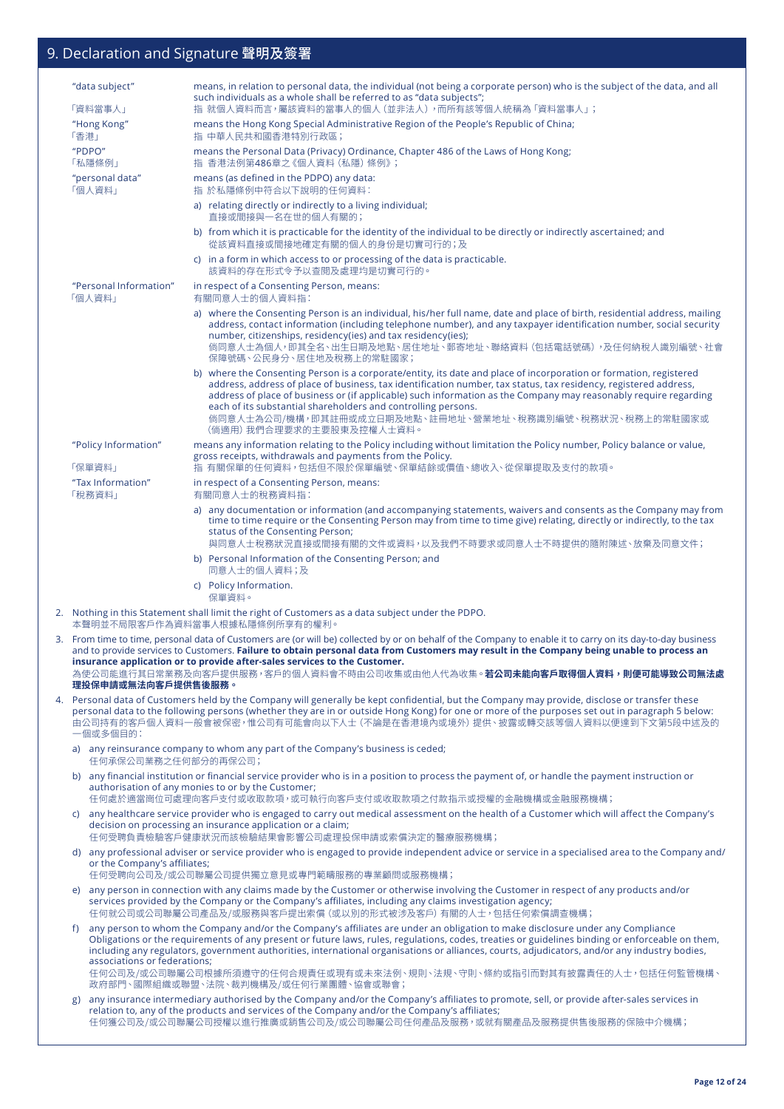|    |      | "data subject"                                                                                                                                                                                                                                                                                                                                                                          | means, in relation to personal data, the individual (not being a corporate person) who is the subject of the data, and all<br>such individuals as a whole shall be referred to as "data subjects";                                                                                                                                                                                                                                                                                                                   |
|----|------|-----------------------------------------------------------------------------------------------------------------------------------------------------------------------------------------------------------------------------------------------------------------------------------------------------------------------------------------------------------------------------------------|----------------------------------------------------------------------------------------------------------------------------------------------------------------------------------------------------------------------------------------------------------------------------------------------------------------------------------------------------------------------------------------------------------------------------------------------------------------------------------------------------------------------|
|    |      | 「資料當事人」<br>"Hong Kong"                                                                                                                                                                                                                                                                                                                                                                  | 指 就個人資料而言,屬該資料的當事人的個人(並非法人),而所有該等個人統稱為「資料當事人」;<br>means the Hong Kong Special Administrative Region of the People's Republic of China;                                                                                                                                                                                                                                                                                                                                                                               |
|    | 「香港」 | "PDPO"                                                                                                                                                                                                                                                                                                                                                                                  | 指 中華人民共和國香港特別行政區;<br>means the Personal Data (Privacy) Ordinance, Chapter 486 of the Laws of Hong Kong;                                                                                                                                                                                                                                                                                                                                                                                                              |
|    |      | 「私隱條例」                                                                                                                                                                                                                                                                                                                                                                                  | 指 香港法例第486章之《個人資料 (私隱) 條例》;                                                                                                                                                                                                                                                                                                                                                                                                                                                                                          |
|    |      | "personal data"<br>「個人資料」                                                                                                                                                                                                                                                                                                                                                               | means (as defined in the PDPO) any data:<br>指 於私隱條例中符合以下說明的任何資料:                                                                                                                                                                                                                                                                                                                                                                                                                                                     |
|    |      |                                                                                                                                                                                                                                                                                                                                                                                         | a) relating directly or indirectly to a living individual;<br>直接或間接與一名在世的個人有關的;                                                                                                                                                                                                                                                                                                                                                                                                                                      |
|    |      |                                                                                                                                                                                                                                                                                                                                                                                         | b) from which it is practicable for the identity of the individual to be directly or indirectly ascertained; and<br>從該資料直接或間接地確定有關的個人的身份是切實可行的;及                                                                                                                                                                                                                                                                                                                                                                     |
|    |      |                                                                                                                                                                                                                                                                                                                                                                                         | c) in a form in which access to or processing of the data is practicable.<br>該資料的存在形式令予以杳閱及處理均是切實可行的。                                                                                                                                                                                                                                                                                                                                                                                                                |
|    |      | "Personal Information"<br>「個人資料」                                                                                                                                                                                                                                                                                                                                                        | in respect of a Consenting Person, means:<br>有關同意人士的個人資料指:                                                                                                                                                                                                                                                                                                                                                                                                                                                           |
|    |      |                                                                                                                                                                                                                                                                                                                                                                                         | a) where the Consenting Person is an individual, his/her full name, date and place of birth, residential address, mailing<br>address, contact information (including telephone number), and any taxpayer identification number, social security<br>number, citizenships, residency(ies) and tax residency(ies);<br>倘同意人士為個人,即其全名、出生日期及地點、居住地址、郵寄地址、聯絡資料(包括電話號碼),及任何納稅人識別編號、社會<br>保障號碼、公民身分、居住地及稅務上的常駐國家;                                                                                                             |
|    |      |                                                                                                                                                                                                                                                                                                                                                                                         | b) where the Consenting Person is a corporate/entity, its date and place of incorporation or formation, registered<br>address, address of place of business, tax identification number, tax status, tax residency, registered address,<br>address of place of business or (if applicable) such information as the Company may reasonably require regarding<br>each of its substantial shareholders and controlling persons.<br>倘同意人士為公司/機構,即其註冊或成立日期及地點、註冊地址、營業地址、稅務識別編號、稅務狀況、稅務上的常駐國家或<br>(倘適用) 我們合理要求的主要股東及控權人士資料。 |
|    |      | "Policy Information"                                                                                                                                                                                                                                                                                                                                                                    | means any information relating to the Policy including without limitation the Policy number, Policy balance or value,<br>gross receipts, withdrawals and payments from the Policy.                                                                                                                                                                                                                                                                                                                                   |
|    |      | 「保單資料」<br>"Tax Information"                                                                                                                                                                                                                                                                                                                                                             | 指 有關保單的任何資料,包括但不限於保單編號、保單結餘或價值、總收入、從保單提取及支付的款項。                                                                                                                                                                                                                                                                                                                                                                                                                                                                      |
|    |      | 「稅務資料」                                                                                                                                                                                                                                                                                                                                                                                  | in respect of a Consenting Person, means:<br>有關同意人士的稅務資料指:                                                                                                                                                                                                                                                                                                                                                                                                                                                           |
|    |      |                                                                                                                                                                                                                                                                                                                                                                                         | a) any documentation or information (and accompanying statements, waivers and consents as the Company may from<br>time to time require or the Consenting Person may from time to time give) relating, directly or indirectly, to the tax<br>status of the Consenting Person;<br>與同意人士稅務狀況直接或間接有關的文件或資料,以及我們不時要求或同意人士不時提供的隨附陳述、放棄及同意文件;                                                                                                                                                                               |
|    |      |                                                                                                                                                                                                                                                                                                                                                                                         | b) Personal Information of the Consenting Person; and<br>同意人士的個人資料;及                                                                                                                                                                                                                                                                                                                                                                                                                                                 |
|    |      |                                                                                                                                                                                                                                                                                                                                                                                         | c) Policy Information.<br>保單資料。                                                                                                                                                                                                                                                                                                                                                                                                                                                                                      |
|    |      |                                                                                                                                                                                                                                                                                                                                                                                         | 2. Nothing in this Statement shall limit the right of Customers as a data subject under the PDPO.<br>本聲明並不局限客戶作為資料當事人根據私隱條例所享有的權利。                                                                                                                                                                                                                                                                                                                                                                                   |
|    |      |                                                                                                                                                                                                                                                                                                                                                                                         | 3. From time to time, personal data of Customers are (or will be) collected by or on behalf of the Company to enable it to carry on its day-to-day business<br>and to provide services to Customers. Failure to obtain personal data from Customers may result in the Company being unable to process an                                                                                                                                                                                                             |
|    |      | 理投保申請或無法向客戶提供售後服務。                                                                                                                                                                                                                                                                                                                                                                      | insurance application or to provide after-sales services to the Customer.<br>為使公司能進行其日常業務及向客戶提供服務,客戶的個人資料會不時由公司收集或由他人代為收集。 <b>若公司未能向客戶取得個人資料,則便可能導致公司無法處</b>                                                                                                                                                                                                                                                                                                                                                         |
| 4. |      | Personal data of Customers held by the Company will generally be kept confidential, but the Company may provide, disclose or transfer these<br>personal data to the following persons (whether they are in or outside Hong Kong) for one or more of the purposes set out in paragraph 5 below:<br>由公司持有的客戶個人資料一般會被保密,惟公司有可能會向以下人士 (不論是在香港境內或境外) 提供、披露或轉交該等個人資料以便達到下文第5段中述及的<br>一個或多個目的: |                                                                                                                                                                                                                                                                                                                                                                                                                                                                                                                      |
|    |      | 任何承保公司業務之任何部分的再保公司;                                                                                                                                                                                                                                                                                                                                                                     | a) any reinsurance company to whom any part of the Company's business is ceded;                                                                                                                                                                                                                                                                                                                                                                                                                                      |
|    | b)   |                                                                                                                                                                                                                                                                                                                                                                                         | any financial institution or financial service provider who is in a position to process the payment of, or handle the payment instruction or<br>authorisation of any monies to or by the Customer;<br>任何處於適當崗位可處理向客戶支付或收取款項,或可執行向客戶支付或收取款項之付款指示或授權的金融機構或金融服務機構;                                                                                                                                                                                                                                                      |
|    |      |                                                                                                                                                                                                                                                                                                                                                                                         | c) any healthcare service provider who is engaged to carry out medical assessment on the health of a Customer which will affect the Company's<br>decision on processing an insurance application or a claim;                                                                                                                                                                                                                                                                                                         |
|    |      | or the Company's affiliates;                                                                                                                                                                                                                                                                                                                                                            | 任何受聘負責檢驗客戶健康狀況而該檢驗結果會影響公司處理投保申請或索償決定的醫療服務機構;<br>d) any professional adviser or service provider who is engaged to provide independent advice or service in a specialised area to the Company and/                                                                                                                                                                                                                                                                                                                    |
|    | e)   |                                                                                                                                                                                                                                                                                                                                                                                         | 任何受聘向公司及/或公司聯屬公司提供獨立意見或專門範疇服務的專業顧問或服務機構;<br>any person in connection with any claims made by the Customer or otherwise involving the Customer in respect of any products and/or                                                                                                                                                                                                                                                                                                                                      |
|    |      |                                                                                                                                                                                                                                                                                                                                                                                         | services provided by the Company or the Company's affiliates, including any claims investigation agency;<br>任何就公司或公司聯屬公司產品及/或服務與客戶提出索償 (或以別的形式被涉及客戶) 有關的人士,包括任何索償調查機構;                                                                                                                                                                                                                                                                                                                                               |
|    | f)   | associations or federations;                                                                                                                                                                                                                                                                                                                                                            | any person to whom the Company and/or the Company's affiliates are under an obligation to make disclosure under any Compliance<br>Obligations or the requirements of any present or future laws, rules, regulations, codes, treaties or guidelines binding or enforceable on them,<br>including any regulators, government authorities, international organisations or alliances, courts, adjudicators, and/or any industry bodies,                                                                                  |
|    |      |                                                                                                                                                                                                                                                                                                                                                                                         | 任何公司及/或公司聯屬公司根據所須遵守的任何合規責任或現有或未來法例、規則、法規、守則、條約或指引而對其有披露責任的人士,包括任何監管機構、<br>政府部門、國際組織或聯盟、法院、裁判機構及/或任何行業團體、協會或聯會;                                                                                                                                                                                                                                                                                                                                                                                                       |
|    | g)   |                                                                                                                                                                                                                                                                                                                                                                                         | any insurance intermediary authorised by the Company and/or the Company's affiliates to promote, sell, or provide after-sales services in<br>relation to, any of the products and services of the Company and/or the Company's affiliates;<br>任何獲公司及/或公司聯屬公司授權以進行推廣或銷售公司及/或公司聯屬公司任何產品及服務,或就有關產品及服務提供售後服務的保險中介機構;                                                                                                                                                                                                     |
|    |      |                                                                                                                                                                                                                                                                                                                                                                                         |                                                                                                                                                                                                                                                                                                                                                                                                                                                                                                                      |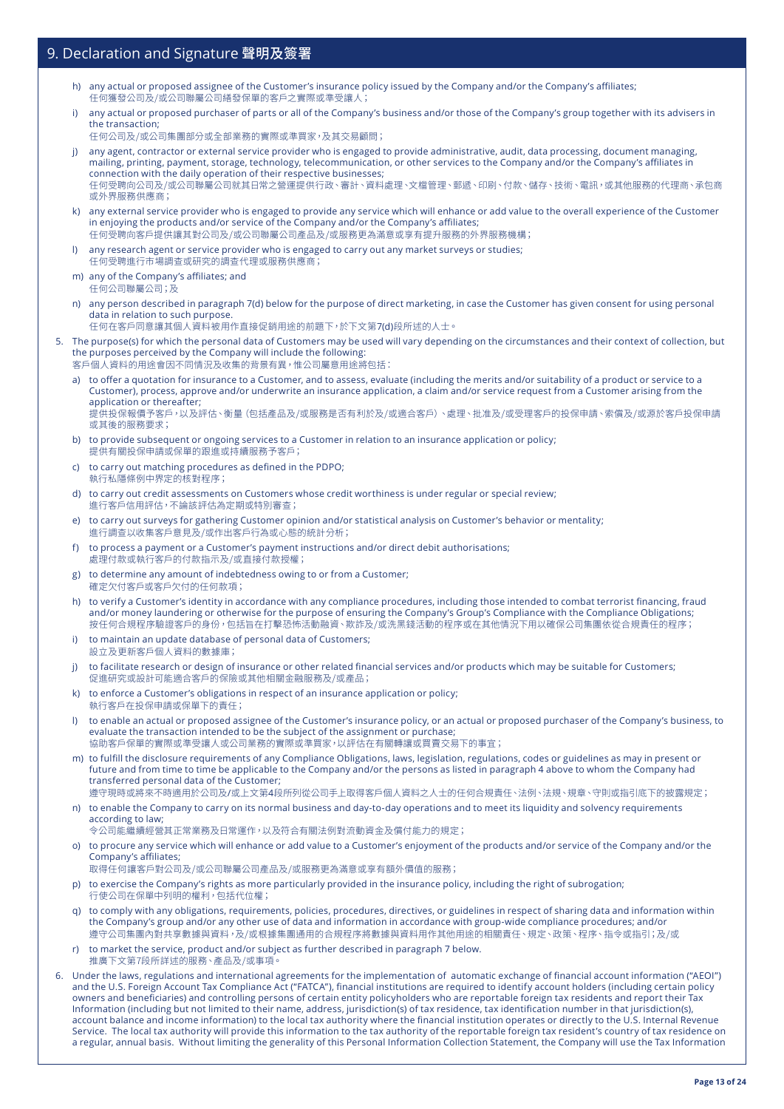- h) any actual or proposed assignee of the Customer's insurance policy issued by the Company and/or the Company's affiliates; 任何獲發公司及/或公司聯屬公司繕發保單的客戶之實際或準受讓人;
- i) any actual or proposed purchaser of parts or all of the Company's business and/or those of the Company's group together with its advisers in the transaction;
- 任何公司及/或公司集團部分或全部業務的實際或準買家,及其交易顧問;
- j) any agent, contractor or external service provider who is engaged to provide administrative, audit, data processing, document managing, mailing, printing, payment, storage, technology, telecommunication, or other services to the Company and/or the Company's affiliates in connection with the daily operation of their respective businesses; 任何受聘向公司及/或公司聯屬公司就其日常之營運提供行政、審計、資料處理、文檔管理、郵遞、印刷、付款、儲存、技術、電訊,或其他服務的代理商、承包商 或外界服務供應商;
- k) any external service provider who is engaged to provide any service which will enhance or add value to the overall experience of the Customer in enjoying the products and/or service of the Company and/or the Company's affiliates; 任何受聘向客戶提供讓其對公司及/或公司聯屬公司產品及/或服務更為滿意或享有提升服務的外界服務機構;
- l) any research agent or service provider who is engaged to carry out any market surveys or studies; 任何受聘進行市場調查或研究的調查代理或服務供應商;
- m) any of the Company's affiliates; and 任何公司聯屬公司;及
- n) any person described in paragraph 7(d) below for the purpose of direct marketing, in case the Customer has given consent for using personal data in relation to such purpose.
	- 任何在客戶同意讓其個人資料被用作直接促銷用途的前題下,於下文第7(d)段所述的人士。
- 5. The purpose(s) for which the personal data of Customers may be used will vary depending on the circumstances and their context of collection, but the purposes perceived by the Company will include the following:
	- 客戶個人資料的用途會因不同情況及收集的背景有異,惟公司屬意用途將包括:
	- a) to offer a quotation for insurance to a Customer, and to assess, evaluate (including the merits and/or suitability of a product or service to a Customer), process, approve and/or underwrite an insurance application, a claim and/or service request from a Customer arising from the application or thereafter; 提供投保報價予客戶,以及評估、衡量(包括產品及/或服務是否有利於及/或適合客戶)、處理、批准及/或受理客戶的投保申請、索償及/或源於客戶投保申請 或其後的服務要求;
	- b) to provide subsequent or ongoing services to a Customer in relation to an insurance application or policy; 提供有關投保申請或保單的跟進或持續服務予客戶;
	- c) to carry out matching procedures as defined in the PDPO; 執行私隱條例中界定的核對程序;
	- d) to carry out credit assessments on Customers whose credit worthiness is under regular or special review; 進行客戶信用評估,不論該評估為定期或特別審查;
	- e) to carry out surveys for gathering Customer opinion and/or statistical analysis on Customer's behavior or mentality; 進行調查以收集客戶意見及/或作出客戶行為或心態的統計分析;
	- f) to process a payment or a Customer's payment instructions and/or direct debit authorisations; 處理付款或執行客戶的付款指示及/或直接付款授權;
	- g) to determine any amount of indebtedness owing to or from a Customer; 確定欠付客戶或客戶欠付的任何款項;
	- h) to verify a Customer's identity in accordance with any compliance procedures, including those intended to combat terrorist financing, fraud and/or money laundering or otherwise for the purpose of ensuring the Company's Group's Compliance with the Compliance Obligations; 按任何合規程序驗證客戶的身份,包括旨在打擊恐怖活動融資、欺詐及/或洗黑錢活動的程序或在其他情況下用以確保公司集團依從合規責任的程序;
	- i) to maintain an update database of personal data of Customers; 設立及更新客戶個人資料的數據庫;
	- j) to facilitate research or design of insurance or other related financial services and/or products which may be suitable for Customers; 促進研究或設計可能適合客戶的保險或其他相關金融服務及/或產品;
	- k) to enforce a Customer's obligations in respect of an insurance application or policy; 執行客戶在投保申請或保單下的責任;
	- l) to enable an actual or proposed assignee of the Customer's insurance policy, or an actual or proposed purchaser of the Company's business, to evaluate the transaction intended to be the subject of the assignment or purchase; 協助客戶保單的實際或準受讓人或公司業務的實際或準買家,以評估在有關轉讓或買賣交易下的事宜;
	- m) to fulfill the disclosure requirements of any Compliance Obligations, laws, legislation, regulations, codes or guidelines as may in present or future and from time to time be applicable to the Company and/or the persons as listed in paragraph 4 above to whom the Company had transferred personal data of the Customer;

遵守現時或將來不時適用於公司及/或上文第4段所列從公司手上取得客戶個人資料之人士的任何合規責任、法例、法規、規章、守則或指引底下的披露規定; n) to enable the Company to carry on its normal business and day-to-day operations and to meet its liquidity and solvency requirements

- according to law; 令公司能繼續經營其正常業務及日常運作,以及符合有關法例對流動資金及償付能力的規定;
- o) to procure any service which will enhance or add value to a Customer's enjoyment of the products and/or service of the Company and/or the Company's affiliates;

取得任何讓客戶對公司及/或公司聯屬公司產品及/或服務更為滿意或享有額外價值的服務;

- p) to exercise the Company's rights as more particularly provided in the insurance policy, including the right of subrogation; 行使公司在保單中列明的權利,包括代位權;
- q) to comply with any obligations, requirements, policies, procedures, directives, or guidelines in respect of sharing data and information within the Company's group and/or any other use of data and information in accordance with group-wide compliance procedures; and/or 遵守公司集團內對共享數據與資料,及/或根據集團通用的合規程序將數據與資料用作其他用途的相關責任、規定、政策、程序、指令或指引;及/或
- r) to market the service, product and/or subject as further described in paragraph 7 below. 推廣下文第7段所詳述的服務、產品及/或事項
- 6. Under the laws, regulations and international agreements for the implementation of automatic exchange of financial account information ("AEOI") and the U.S. Foreign Account Tax Compliance Act ("FATCA"), financial institutions are required to identify account holders (including certain policy owners and beneficiaries) and controlling persons of certain entity policyholders who are reportable foreign tax residents and report their Tax Information (including but not limited to their name, address, jurisdiction(s) of tax residence, tax identification number in that jurisdiction(s), account balance and income information) to the local tax authority where the financial institution operates or directly to the U.S. Internal Revenue Service. The local tax authority will provide this information to the tax authority of the reportable foreign tax resident's country of tax residence on a regular, annual basis. Without limiting the generality of this Personal Information Collection Statement, the Company will use the Tax Information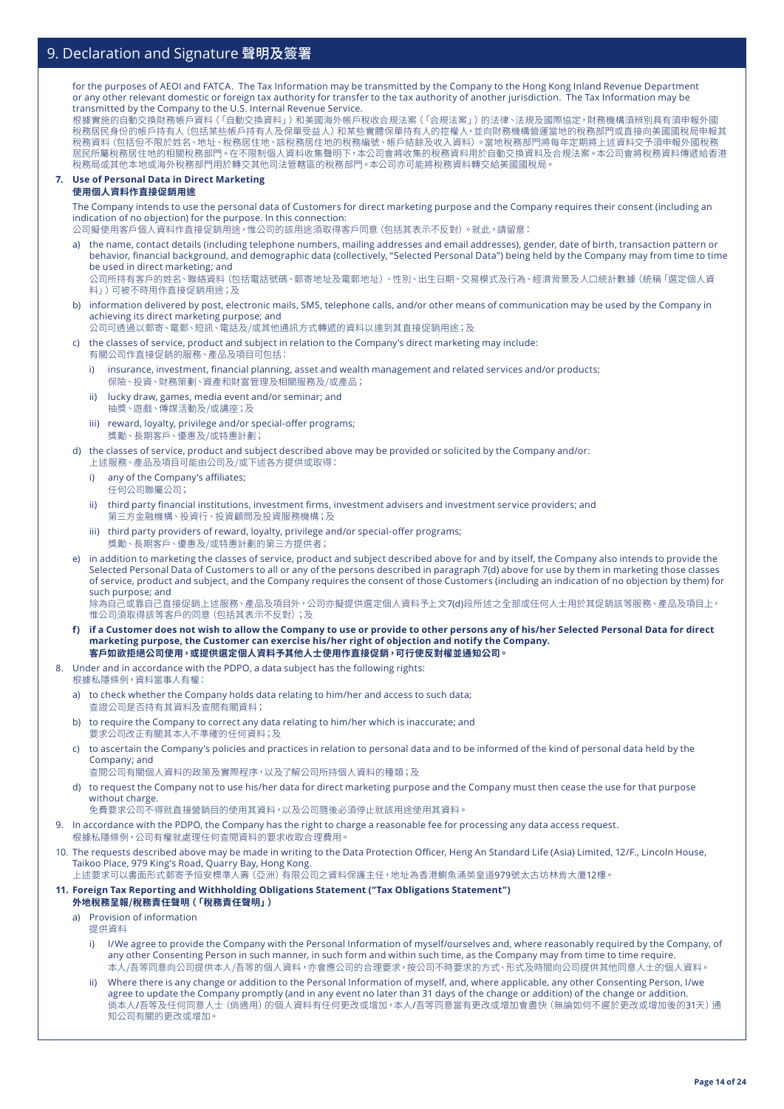for the purposes of AEOI and FATCA. The Tax Information may be transmitted by the Company to the Hong Kong Inland Revenue Department or any other relevant domestic or foreign tax authority for transfer to the tax authority of another jurisdiction. The Tax Information may be transmitted by the Company to the U.S. Internal Revenue Service.

根據實施的自動交換財務帳戶資料(「自動交換資料」)和美國海外帳戶稅收合規法案(「合規法案」)的法律、法規及國際協定,財務機構須辨別具有須申報外國 稅務居民身份的帳戶持有人(包括某些帳戶持有人及保單受益人)和某些實體保單持有人的控權人,並向財務機構營運當地的稅務部門或直接向美國國稅局申報其 稅務資料(包括但不限於姓名、地址、稅務居住地、該稅務居住地的稅務編號、帳戶結餘及收入資料)。當地稅務部門將每年定期將上述資料交予須申報外國稅務 居民所屬稅務居住地的相關稅務部門。在不限制個人資料收集聲明下,本公司會將收集的稅務資料用於自動交換資料及合規法案。本公司會將稅務資料傳遞給香港 稅務局或其他本地或海外稅務部門用於轉交其他司法管轄區的稅務部門。本公司亦可能將稅務資料轉交給美國國稅局。

#### **7. Use of Personal Data in Direct Marketing 使用個人資料作直接促銷用途**

The Company intends to use the personal data of Customers for direct marketing purpose and the Company requires their consent (including an indication of no objection) for the purpose. In this connection:

公司擬使用客戶個人資料作直接促銷用途,惟公司的該用途須取得客戶同意(包括其表示不反對)。就此,請留意:

a) the name, contact details (including telephone numbers, mailing addresses and email addresses), gender, date of birth, transaction pattern or behavior, financial background, and demographic data (collectively, "Selected Personal Data") being held by the Company may from time to time be used in direct marketing; and

公司所持有客戶的姓名、聯絡資料(包括電話號碼、郵寄地址及電郵地址)、性別、出生日期、交易模式及行為、經濟背景及人口統計數據(統稱「選定個人資 料」)可被不時用作直接促銷用途;及

b) information delivered by post, electronic mails, SMS, telephone calls, and/or other means of communication may be used by the Company in achieving its direct marketing purpose; and

公司可透過以郵寄、電郵、短訊、電話及/或其他通訊方式轉遞的資料以達到其直接促銷用途;及

c) the classes of service, product and subject in relation to the Company's direct marketing may include: 有關公司作直接促銷的服務、產品及項目可包括:

- i) insurance, investment, financial planning, asset and wealth management and related services and/or products; 保險、投資、財務策劃、資產和財富管理及相關服務及/或產品;
- ii) lucky draw, games, media event and/or seminar; and 抽獎、遊戲、傳媒活動及/或講座;及
- iii) reward, loyalty, privilege and/or special-offer programs; 獎勵、長期客戶、優惠及/或特惠計劃;
- d) the classes of service, product and subject described above may be provided or solicited by the Company and/or: 上述服務、產品及項目可能由公司及/或下述各方提供或取得:
	- i) any of the Company's affiliates; 任何公司聯屬公司;
	- ii) third party financial institutions, investment firms, investment advisers and investment service providers; and 第三方金融機構、投資行、投資顧問及投資服務機構;及
	- iii) third party providers of reward, loyalty, privilege and/or special-offer programs; 獎勵、長期客戶、優惠及/或特惠計劃的第三方提供者;
- e) in addition to marketing the classes of service, product and subject described above for and by itself, the Company also intends to provide the Selected Personal Data of Customers to all or any of the persons described in paragraph 7(d) above for use by them in marketing those classes of service, product and subject, and the Company requires the consent of those Customers (including an indication of no objection by them) for such purpose; and 除為自己或靠自己直接促銷上述服務、產品及項目外,公司亦擬提供選定個人資料予上文7(d)段所述之全部或任何人士用於其促銷該等服務、產品及項目上,

惟公司須取得該等客戶的同意(包括其表示不反對);及

- **f) if a Customer does not wish to allow the Company to use or provide to other persons any of his/her Selected Personal Data for direct marketing purpose, the Customer can exercise his/her right of objection and notify the Company. 客戶如欲拒絕公司使用,或提供選定個人資料予其他人士使用作直接促銷,可行使反對權並通知公司。**
- 8. Under and in accordance with the PDPO, a data subject has the following rights: 根據私隱條例,資料當事人有權:
	- a) to check whether the Company holds data relating to him/her and access to such data; 查證公司是否持有其資料及查閱有關資料;
	- b) to require the Company to correct any data relating to him/her which is inaccurate; and 要求公司改正有關其本人不準確的任何資料;及
	- c) to ascertain the Company's policies and practices in relation to personal data and to be informed of the kind of personal data held by the Company; and 查閱公司有關個人資料的政策及實際程序,以及了解公司所持個人資料的種類;及
	- d) to request the Company not to use his/her data for direct marketing purpose and the Company must then cease the use for that purpose without charge.
	- 免費要求公司不得就直接營銷目的使用其資料,以及公司隨後必須停止就該用途使用其資料。
- 9. In accordance with the PDPO, the Company has the right to charge a reasonable fee for processing any data access request.
	- 根據私隱條例,公司有權就處理任何查閱資料的要求收取合理費用。
- 10. The requests described above may be made in writing to the Data Protection Officer, Heng An Standard Life (Asia) Limited, 12/F., Lincoln House, Taikoo Place, 979 King's Road, Quarry Bay, Hong Kong.

上述要求可以書面形式郵寄予恒安標準人壽(亞洲)有限公司之資料保護主任,地址為香港鰂魚涌英皇道979號太古坊林肯大廈12樓。

### **11. Foreign Tax Reporting and Withholding Obligations Statement ("Tax Obligations Statement")**

- **外地稅務呈報/稅務責任聲明(「稅務責任聲明」)**
- a) Provision of information
	- 提供資料
	- i) I/We agree to provide the Company with the Personal Information of myself/ourselves and, where reasonably required by the Company, of any other Consenting Person in such manner, in such form and within such time, as the Company may from time to time require. 本人/吾等同意向公司提供本人/吾等的個人資料,亦會應公司的合理要求,按公司不時要求的方式、形式及時間向公司提供其他同意人士的個人資料。
	- ii) Where there is any change or addition to the Personal Information of myself, and, where applicable, any other Consenting Person, I/we agree to update the Company promptly (and in any event no later than 31 days of the change or addition) of the change or addition. 倘本人/吾等及任何同意人士(倘適用)的個人資料有任何更改或增加,本人/吾等同意當有更改或增加會盡快(無論如何不遲於更改或增加後的31天)通 知公司有關的更改或增加。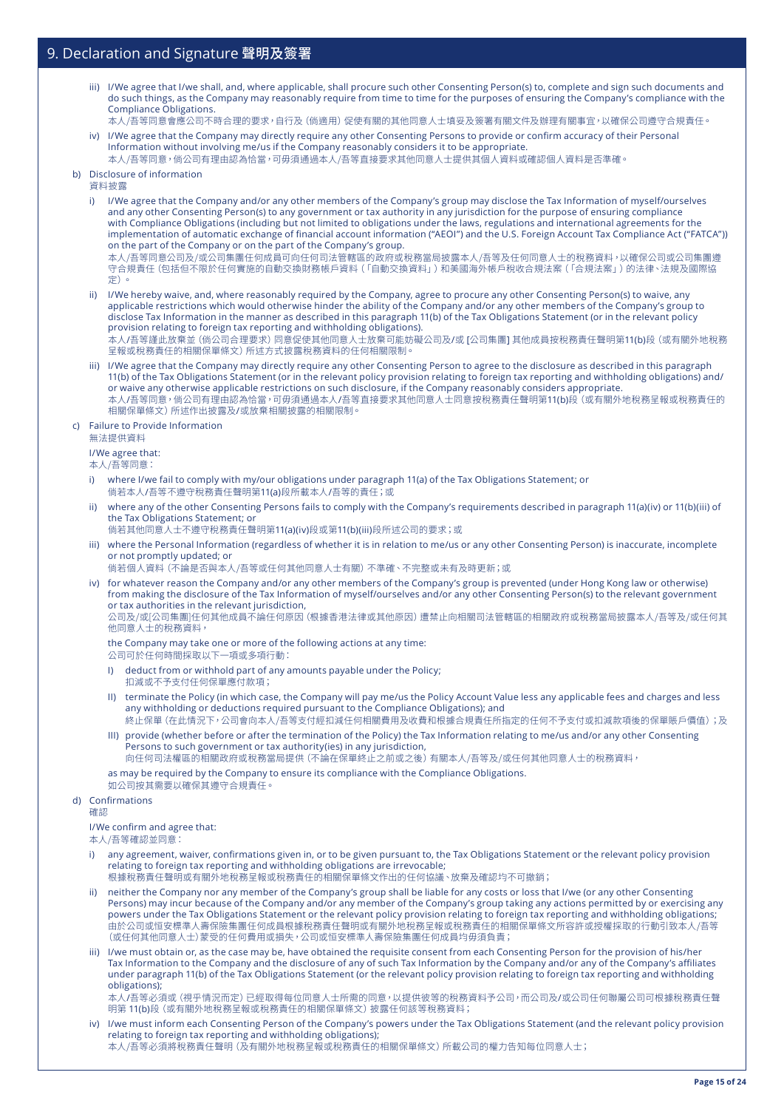- iii) I/We agree that I/we shall, and, where applicable, shall procure such other Consenting Person(s) to, complete and sign such documents and do such things, as the Company may reasonably require from time to time for the purposes of ensuring the Company's compliance with the Compliance Obligations.
- 本人/吾等同意會應公司不時合理的要求,自行及(倘適用)促使有關的其他同意人士填妥及簽署有關文件及辦理有關事宜,以確保公司遵守合規責任。 iv) I/We agree that the Company may directly require any other Consenting Persons to provide or confirm accuracy of their Personal
- Information without involving me/us if the Company reasonably considers it to be appropriate. 本人/吾等同意,倘公司有理由認為恰當,可毋須通過本人/吾等直接要求其他同意人士提供其個人資料或確認個人資料是否準確。

#### b) Disclosure of information

資料披露

- i) I/We agree that the Company and/or any other members of the Company's group may disclose the Tax Information of myself/ourselves and any other Consenting Person(s) to any government or tax authority in any jurisdiction for the purpose of ensuring compliance with Compliance Obligations (including but not limited to obligations under the laws, regulations and international agreements for the implementation of automatic exchange of financial account information ("AEOI") and the U.S. Foreign Account Tax Compliance Act ("FATCA")) on the part of the Company or on the part of the Company's group. 本人/吾等同意公司及/或公司集團任何成員可向任何司法管轄區的政府或稅務當局披露本人/吾等及任何同意人士的稅務資料,以確保公司或公司集團遵
- 守合規責任(包括但不限於任何實施的自動交換財務帳戶資料(「自動交換資料」)和美國海外帳戶稅收合規法案(「合規法案」)的法律、法規及國際協 定)。
- ii) I/We hereby waive, and, where reasonably required by the Company, agree to procure any other Consenting Person(s) to waive, any applicable restrictions which would otherwise hinder the ability of the Company and/or any other members of the Company's group to disclose Tax Information in the manner as described in this paragraph 11(b) of the Tax Obligations Statement (or in the relevant policy provision relating to foreign tax reporting and withholding obligations).

本人/吾等謹此放棄並(倘公司合理要求)同意促使其他同意人士放棄可能妨礙公司及/或 [公司集團] 其他成員按稅務責任聲明第11(b)段(或有關外地稅務 呈報或稅務責任的相關保單條文)所述方式披露稅務資料的任何相關限制。

iii) I/We agree that the Company may directly require any other Consenting Person to agree to the disclosure as described in this paragraph 11(b) of the Tax Obligations Statement (or in the relevant policy provision relating to foreign tax reporting and withholding obligations) and/ or waive any otherwise applicable restrictions on such disclosure, if the Company reasonably considers appropriate. 本人/吾等同意,倘公司有理由認為恰當,可毋須通過本人/吾等直接要求其他同意人士同意按稅務責任聲明第11(b)段 (或有關外地稅務呈報或稅務責任的 相關保單條文)所述作出披露及/或放棄相關披露的相關限制。

#### c) Failure to Provide Information

無法提供資料

#### I/We agree that:

本人/吾等同意:

- where I/we fail to comply with my/our obligations under paragraph 11(a) of the Tax Obligations Statement; or 倘若本人/吾等不遵守稅務責任聲明第11(a)段所載本人/吾等的責任;或
- ii) where any of the other Consenting Persons fails to comply with the Company's requirements described in paragraph 11(a)(iv) or 11(b)(iii) of the Tax Obligations Statement; or
- 倘若其他同意人士不遵守稅務責任聲明第11(a)(iv)段或第11(b)(iii)段所述公司的要求;或
- iii) where the Personal Information (regardless of whether it is in relation to me/us or any other Consenting Person) is inaccurate, incomplete or not promptly updated; or

倘若個人資料(不論是否與本人/吾等或任何其他同意人士有關)不準確、不完整或未有及時更新;或

iv) for whatever reason the Company and/or any other members of the Company's group is prevented (under Hong Kong law or otherwise) from making the disclosure of the Tax Information of myself/ourselves and/or any other Consenting Person(s) to the relevant government or tax authorities in the relevant jurisdiction,

公司及/或[公司集團]任何其他成員不論任何原因(根據香港法律或其他原因)遭禁止向相關司法管轄區的相關政府或稅務當局披露本人/吾等及/或任何其 他同意人士的稅務資料,

the Company may take one or more of the following actions at any time: 公司可於任何時間採取以下一項或多項行動:

- I) deduct from or withhold part of any amounts payable under the Policy; 扣減或不予支付任何保單應付款項;
- II) terminate the Policy (in which case, the Company will pay me/us the Policy Account Value less any applicable fees and charges and less any withholding or deductions required pursuant to the Compliance Obligations); and
- 終止保單(在此情況下,公司會向本人/吾等支付經扣減任何相關費用及收費和根據合規責任所指定的任何不予支付或扣減款項後的保單賬戶價值);及 III) provide (whether before or after the termination of the Policy) the Tax Information relating to me/us and/or any other Consenting Persons to such government or tax authority(ies) in any jurisdiction,
- 向任何司法權區的相關政府或稅務當局提供(不論在保單終止之前或之後)有關本人/吾等及/或任何其他同意人士的稅務資料,

as may be required by the Company to ensure its compliance with the Compliance Obligations.

如公司按其需要以確保其遵守合規責任。

## d) Confirmations

確認

I/We confirm and agree that:

本人/吾等確認並同意:

- i) any agreement, waiver, confirmations given in, or to be given pursuant to, the Tax Obligations Statement or the relevant policy provision relating to foreign tax reporting and withholding obligations are irrevocable;
- 根據稅務責任聲明或有關外地稅務呈報或稅務責任的相關保單條文作出的任何協議、放棄及確認均不可撤銷;
- ii) neither the Company nor any member of the Company's group shall be liable for any costs or loss that I/we (or any other Consenting Persons) may incur because of the Company and/or any member of the Company's group taking any actions permitted by or exercising any powers under the Tax Obligations Statement or the relevant policy provision relating to foreign tax reporting and withholding obligations; 由於公司或恒安標準人壽保險集團任何成員根據稅務責任聲明或有關外地稅務呈報或稅務責任的相關保單條文所容許或授權採取的行動引致本人/吾等 (或任何其他同意人士)蒙受的任何費用或損失,公司或恒安標準人壽保險集團任何成員均毋須負責;
- iii) I/we must obtain or, as the case may be, have obtained the requisite consent from each Consenting Person for the provision of his/her Tax Information to the Company and the disclosure of any of such Tax Information by the Company and/or any of the Company's affiliates under paragraph 11(b) of the Tax Obligations Statement (or the relevant policy provision relating to foreign tax reporting and withholding obligations);

本人/吾等必須或(視乎情況而定)已經取得每位同意人士所需的同意,以提供彼等的稅務資料予公司,而公司及/或公司任何聯屬公司可根據稅務責任聲 明第 11(b)段(或有關外地稅務呈報或稅務責任的相關保單條文)披露任何該等稅務資料;

iv) I/we must inform each Consenting Person of the Company's powers under the Tax Obligations Statement (and the relevant policy provision relating to foreign tax reporting and withholding obligations); 本人/吾等必須將稅務責任聲明(及有關外地稅務呈報或稅務責任的相關保單條文)所載公司的權力告知每位同意人士;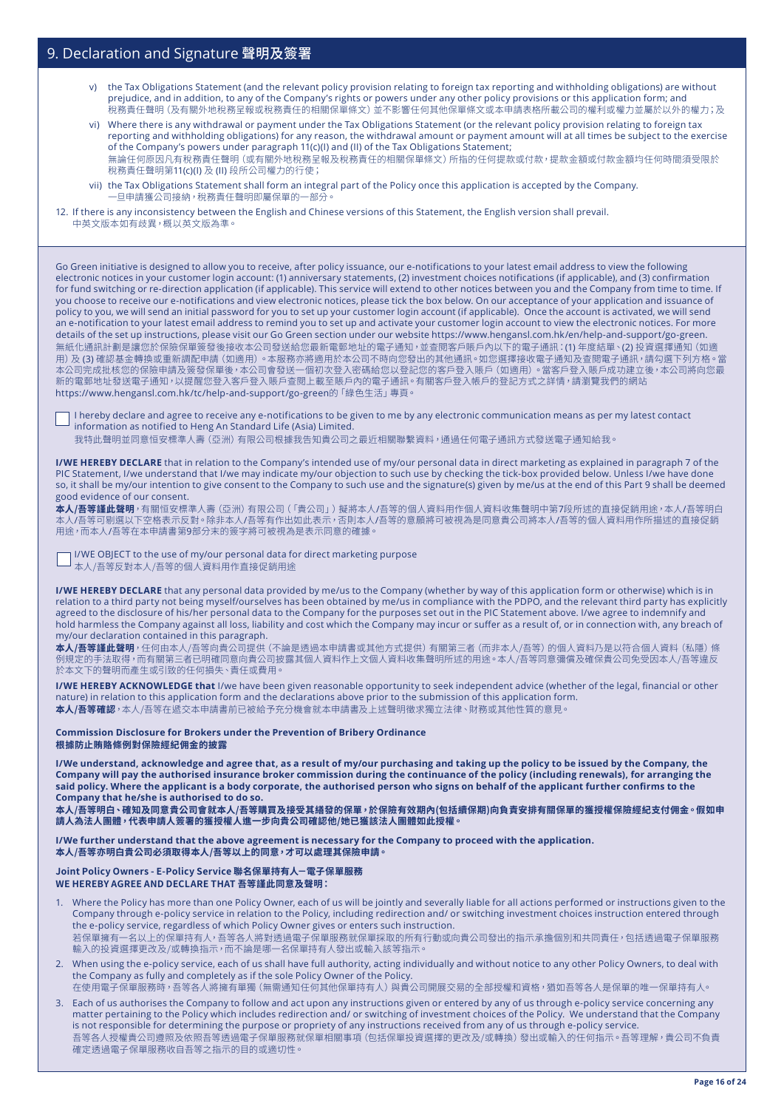- v) the Tax Obligations Statement (and the relevant policy provision relating to foreign tax reporting and withholding obligations) are without prejudice, and in addition, to any of the Company's rights or powers under any other policy provisions or this application form; and 稅務責任聲明 (及有關外地稅務呈報或稅務責任的相關保單條文) 並不影響任何其他保單條文或本申請表格所載公司的權利或權力並屬於以外的権
- vi) Where there is any withdrawal or payment under the Tax Obligations Statement (or the relevant policy provision relating to foreign tax reporting and withholding obligations) for any reason, the withdrawal amount or payment amount will at all times be subject to the exercise of the Company's powers under paragraph 11(c)(I) and (II) of the Tax Obligations Statement; 無論任何原因凡有稅務責任聲明(或有關外地稅務呈報及稅務責任的相關保單條文)所指的任何提款或付款,提款金額或付款金額均任何時間須受限於 稅務責任聲明第11(c)(I) 及 (II) 段所公司權力的行使;
- vii) the Tax Obligations Statement shall form an integral part of the Policy once this application is accepted by the Company. 一旦申請獲公司接納,稅務責任聲明即屬保單的一部分。
- 12. If there is any inconsistency between the English and Chinese versions of this Statement, the English version shall prevail. 中英文版本如有歧異,概以英文版為準。

Go Green initiative is designed to allow you to receive, after policy issuance, our e-notifications to your latest email address to view the following electronic notices in your customer login account: (1) anniversary statements, (2) investment choices notifications (if applicable), and (3) confirmation for fund switching or re-direction application (if applicable). This service will extend to other notices between you and the Company from time to time. If you choose to receive our e-notifications and view electronic notices, please tick the box below. On our acceptance of your application and issuance of policy to you, we will send an initial password for you to set up your customer login account (if applicable). Once the account is activated, we will send an e-notification to your latest email address to remind you to set up and activate your customer login account to view the electronic notices. For more details of the set up instructions, please visit our Go Green section under our website https://www.hengansl.com.hk/en/help-and-support/go-green. 無紙化通訊計劃是讓您於保險保單簽發後接收本公司發送給您最新電郵地址的電子通知,並查閱客戶賬戶內以下的電子通訊:(1) 年度結單、(2) 投資選擇通知(如適 用)及 **(3)** 確認基金轉換或重新調配申請 (如適用)。本服務亦將適用於本公司不時向您發出的其他通訊。如您選擇接收電子通知及查閱電子通訊,請勾選下列方格。當 本公司元成批核您的保險申請及簽發保單後,本公司會發送一個初次登入密碼給您以登記您的客戶登入賬戶 (如適用)。富各戶登入賬戶成功建立後,本公司將向您最 新的電郵地址發送電子通知,以提醒您登入客戶登入賬戶查閱上載至賬戶內的電子通訊。有關客戶登入帳戶的登記方式之詳情,請瀏覽我們的網站 https://www.hengansl.com.hk/tc/help-and-support/go-green的「綠色生活」專頁。

I hereby declare and agree to receive any e-notifications to be given to me by any electronic communication means as per my latest contact information as notified to Heng An Standard Life (Asia) Limited.

我特此聲明並同意恒安標準人壽(亞洲)有限公司根據我告知貴公司之最近相關聯繫資料,通過任何電子通訊方式發送電子通知給我。

**I/WE HEREBY DECLARE** that in relation to the Company's intended use of my/our personal data in direct marketing as explained in paragraph 7 of the PIC Statement, I/we understand that I/we may indicate my/our objection to such use by checking the tick-box provided below. Unless I/we have done so, it shall be my/our intention to give consent to the Company to such use and the signature(s) given by me/us at the end of this Part 9 shall be deemed good evidence of our consent.

<mark>本人/吾等謹此聲明</mark>,有關恒安標準人壽(亞洲)有限公司(「貴公司」)擬將本人/吾等的個人資料用作個人資料收集聲明中第7段所述的直接促銷用途,本人/吾等明白 本人/吾等可剔選以下空格表示反對。除非本人/吾等有作出如此表示,否則本人/吾等的意願將可被視為是同意貴公司將本人/吾等的個人資料用作所描述的直接促銷 用途,而本人/吾等在本申請書第9部分末的簽字將可被視為是表示同意的確據。

I/WE OBJECT to the use of my/our personal data for direct marketing purpose 本人/吾等反對本人/吾等的個人資料用作直接促銷用途

**I/WE HEREBY DECLARE** that any personal data provided by me/us to the Company (whether by way of this application form or otherwise) which is in relation to a third party not being myself/ourselves has been obtained by me/us in compliance with the PDPO, and the relevant third party has explicitly agreed to the disclosure of his/her personal data to the Company for the purposes set out in the PIC Statement above. I/we agree to indemnify and hold harmless the Company against all loss, liability and cost which the Company may incur or suffer as a result of, or in connection with, any breach of my/our declaration contained in this paragraph.

**本人/吾等謹此聲明**,任何由本人/吾等向貴公司提供(不論是透過本申請書或其他方式提供)有關第三者(而非本人/吾等)的個人資料乃是以符合個人資料(私隱)條 例規定的手法取得 <sup>,</sup> 而有關第三者已明確同意向貴公司披露其個人資料作上文個人資料收集聲明所述的用途。本人/吾等同意彌價及確保責公司免受因本人/吾等違反 於本文下的聲明而產生或引致的任何損失、責任或費用。

**I/WE HEREBY ACKNOWLEDGE that** I/we have been given reasonable opportunity to seek independent advice (whether of the legal, financial or other nature) in relation to this application form and the declarations above prior to the submission of this application form. **本人/吾等確認**,本人/吾等在遞交本申請書前已被給予充分機會就本申請書及上述聲明徵求獨立法律、財務或其他性質的意見。

**Commission Disclosure for Brokers under the Prevention of Bribery Ordinance 根據防止賄賂條例對保險經紀佣金的披露**

**I/We understand, acknowledge and agree that, as a result of my/our purchasing and taking up the policy to be issued by the Company, the Company will pay the authorised insurance broker commission during the continuance of the policy (including renewals), for arranging the said policy. Where the applicant is a body corporate, the authorised person who signs on behalf of the applicant further confirms to the Company that he/she is authorised to do so.**

**本人/吾等明白、確知及同意貴公司會就本人/吾等購買及接受其繕發的保單,於保險有效期內(包括續保期)向負責安排有關保單的獲授權保險經紀支付佣金。假如申 請人為法人團體,代表申請人簽署的獲授權人進一步向貴公司確認他/她已獲該法人團體如此授權。**

**I/We further understand that the above agreement is necessary for the Company to proceed with the application. 本人/吾等亦明白貴公司必須取得本人/吾等以上的同意,才可以處理其保險申請。**

#### **Joint Policy Owners - E-Policy Service 聯名保單持有人-電子保單服務 WE HEREBY AGREE AND DECLARE THAT 吾等謹此同意及聲明:**

- 1. Where the Policy has more than one Policy Owner, each of us will be jointly and severally liable for all actions performed or instructions given to the Company through e-policy service in relation to the Policy, including redirection and/ or switching investment choices instruction entered through the e-policy service, regardless of which Policy Owner gives or enters such instruction. 若保單擁有一名以上的保單持有人,吾等各人將對透過電子保單服務就保單採取的所有行動或向貴公司發出的指示承擔個別和共同責任,包括透過電子保單服務 輸入的投資選擇更改及/或轉換指示,而不論是哪一名保單持有人發出或輸入該等指示。
- 2. When using the e-policy service, each of us shall have full authority, acting individually and without notice to any other Policy Owners, to deal with the Company as fully and completely as if the sole Policy Owner of the Policy. 在使用電子保單服務時,吾等各人將擁有單獨 (無需通知任何其他保單持有人) 與貴公司開展交易的全部授權和資格,猶如吾等各人是保單的唯一保單持有人。
- 3. Each of us authorises the Company to follow and act upon any instructions given or entered by any of us through e-policy service concerning any matter pertaining to the Policy which includes redirection and/ or switching of investment choices of the Policy. We understand that the Company is not responsible for determining the purpose or propriety of any instructions received from any of us through e-policy service. 吾等各人授權貴公司遵照及依照吾等透過電子保單服務就保單相關事項 (包括保單投資選擇的更改及/或轉換) 發出或輸入的任何指示。 吾等理解,貴公司不負責 確定透過電子保單服務收自吾等之指示的目的或適切性。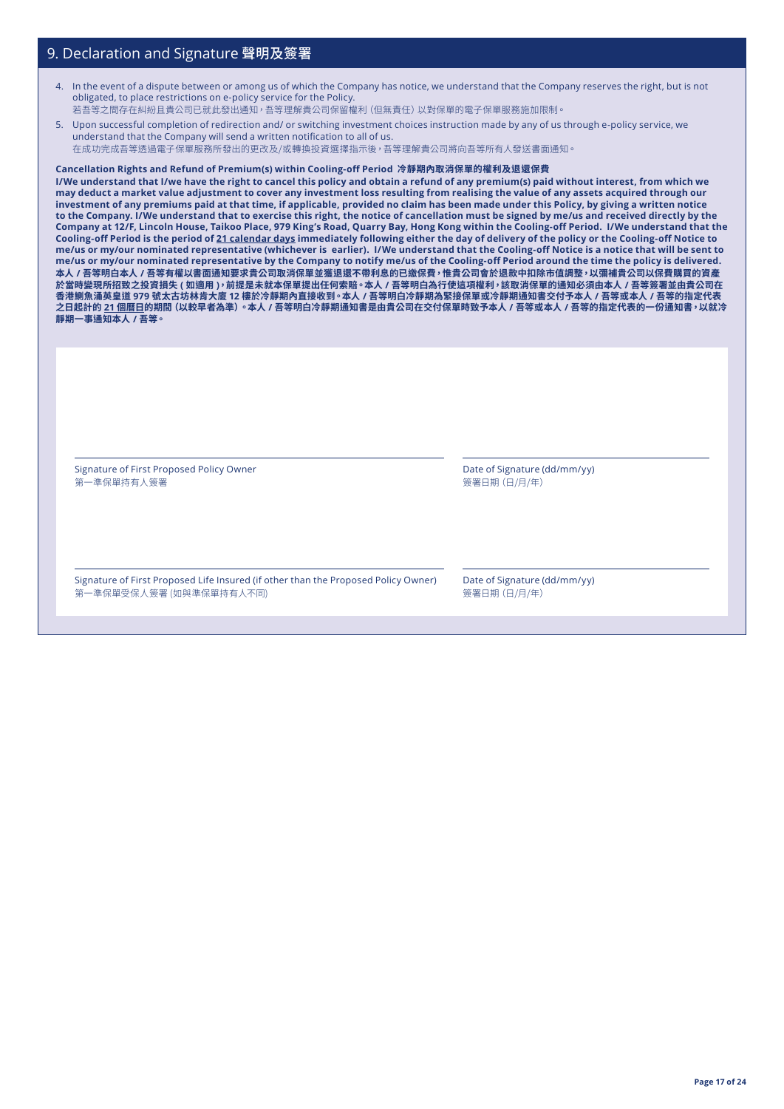- 4. In the event of a dispute between or among us of which the Company has notice, we understand that the Company reserves the right, but is not obligated, to place restrictions on e-policy service for the Policy. 若吾等之間存在糾紛且貴公司已就此發出通知,吾等理解貴公司保留權利(但無責任)以對保單的電子保單服務施加限制。
- 5. Upon successful completion of redirection and/ or switching investment choices instruction made by any of us through e-policy service, we understand that the Company will send a written notification to all of us.

在成功完成吾等透過電子保單服務所發出的更改及/或轉換投資選擇指示後,吾等理解貴公司將向吾等所有人發送書面通知。

#### **Cancellation Rights and Refund of Premium(s) within Cooling-off Period 冷靜期內取消保單的權利及退還保費**

**I/We understand that I/we have the right to cancel this policy and obtain a refund of any premium(s) paid without interest, from which we may deduct a market value adjustment to cover any investment loss resulting from realising the value of any assets acquired through our investment of any premiums paid at that time, if applicable, provided no claim has been made under this Policy, by giving a written notice to the Company. I/We understand that to exercise this right, the notice of cancellation must be signed by me/us and received directly by the Company at 12/F, Lincoln House, Taikoo Place, 979 King's Road, Quarry Bay, Hong Kong within the Cooling-off Period. I/We understand that the Cooling-off Period is the period of 21 calendar days immediately following either the day of delivery of the policy or the Cooling-off Notice to me/us or my/our nominated representative (whichever is earlier). I/We understand that the Cooling-off Notice is a notice that will be sent to me/us or my/our nominated representative by the Company to notify me/us of the Cooling-off Period around the time the policy is delivered. 本人 / 吾等明白本人 / 吾等有權以書面通知要求貴公司取消保單並獲退還不帶利息的已繳保費,惟貴公司會於退款中扣除市值調整,以彌補貴公司以保費購買的資產 於當時變現所招致之投資損失 ( 如適用 ),前提是未就本保單提出任何索賠。本人 / 吾等明白為行使這項權利,該取消保單的通知必須由本人 / 吾等簽署並由貴公司在 香港鰂魚涌英皇道 979 號太古坊林肯大廈 12 樓於冷靜期內直接收到。本人 / 吾等明白冷靜期為緊接保單或冷靜期通知書交付予本人 / 吾等或本人 / 吾等的指定代表 之日起計的 21 個曆日的期間(以較早者為準)。本人 / 吾等明白冷靜期通知書是由貴公司在交付保單時致予本人 / 吾等或本人 / 吾等的指定代表的一份通知書,以就冷 靜期一事通知本人 / 吾等。**

Signature of First Proposed Policy Owner 第一準保單持有人簽署

Date of Signature (dd/mm/yy) 簽署日期(日/月/年)

Signature of First Proposed Life Insured (if other than the Proposed Policy Owner) 第一準保單受保人簽署 (如與準保單持有人不同)

Date of Signature (dd/mm/yy) 簽署日期(日/月/年)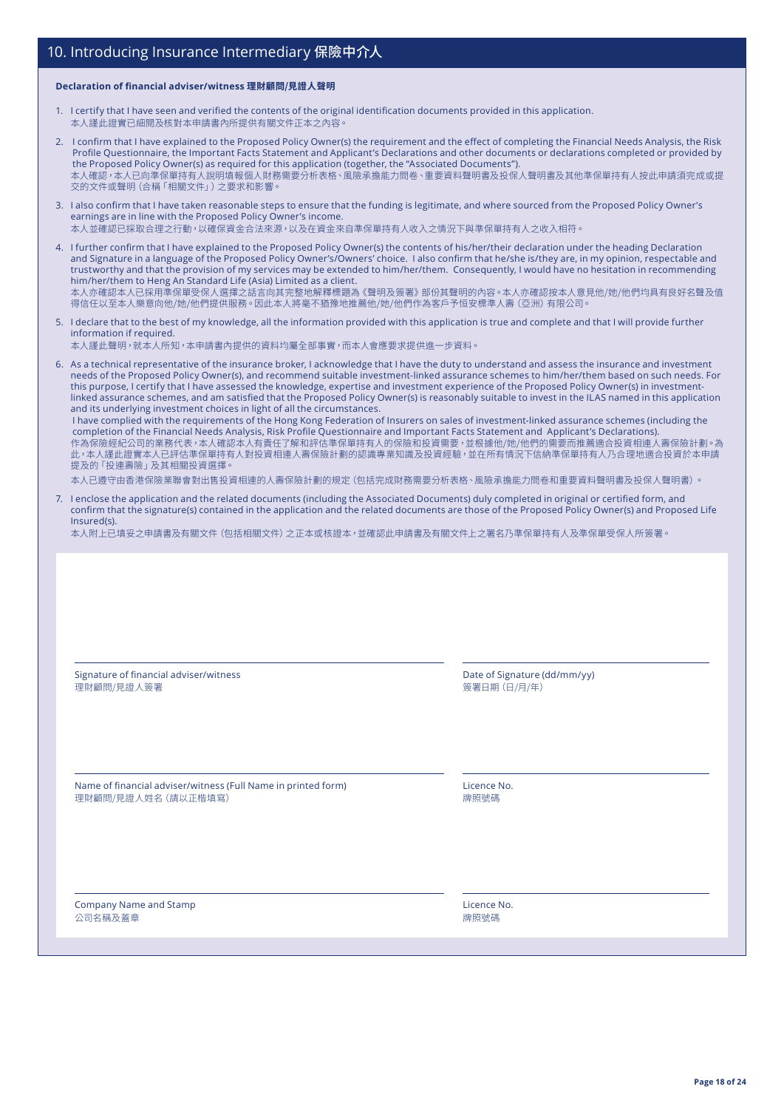## 10. Introducing Insurance Intermediary 保險中介人

#### **Declaration of financial adviser/witness 理財顧問/見證人聲明**

- 1. I certify that I have seen and verified the contents of the original identification documents provided in this application. 本人謹此證實已細閱及核對本申請書內所提供有關文件正本之內容。
- 2. I confirm that I have explained to the Proposed Policy Owner(s) the requirement and the effect of completing the Financial Needs Analysis, the Risk Profile Questionnaire, the Important Facts Statement and Applicant's Declarations and other documents or declarations completed or provided by the Proposed Policy Owner(s) as required for this application (together, the "Associated Documents"). 本人確認,本人已向準保單持有人說明填報個人財務需要分析表格、風險承擔能力問卷、重要資料聲明書及投保人聲明書及其他準保單持有人按此申請須完成或提 交的文件或聲明(合稱「相關文件」)之要求和影響
- 3. I also confirm that I have taken reasonable steps to ensure that the funding is legitimate, and where sourced from the Proposed Policy Owner's earnings are in line with the Proposed Policy Owner's income. 本人並確認已採取合理之行動,以確保資金合法來源,以及在資金來自準保單持有人收入之情況下與準保單持有人之收入相符。
- 4. I further confirm that I have explained to the Proposed Policy Owner(s) the contents of his/her/their declaration under the heading Declaration and Signature in a language of the Proposed Policy Owner's/Owners' choice. I also confirm that he/she is/they are, in my opinion, respectable and trustworthy and that the provision of my services may be extended to him/her/them. Consequently, I would have no hesitation in recommending him/her/them to Heng An Standard Life (Asia) Limited as a client. 本人亦確認本人已採用準保單受保人選擇之話言向其完整地解釋標題為《聲明及簽署》部份其聲明的內容。本人亦確認按本人意見他/她/他們均具有良好名聲及值 得信任以至本人樂意向他/她/他們提供服務。因此本人將毫不猶豫地推薦他/她/他們作為客戶予恒安標準人壽(亞洲)有限公司。
- 5. I declare that to the best of my knowledge, all the information provided with this application is true and complete and that I will provide further information if required.
- 本人謹此聲明,就本人所知,本申請書內提供的資料均屬全部事實,而本人會應要求提供進一步資料。
- 6. As a technical representative of the insurance broker, I acknowledge that I have the duty to understand and assess the insurance and investment needs of the Proposed Policy Owner(s), and recommend suitable investment-linked assurance schemes to him/her/them based on such needs. For this purpose, I certify that I have assessed the knowledge, expertise and investment experience of the Proposed Policy Owner(s) in investmentlinked assurance schemes, and am satisfied that the Proposed Policy Owner(s) is reasonably suitable to invest in the ILAS named in this application and its underlying investment choices in light of all the circumstances.

I have complied with the requirements of the Hong Kong Federation of Insurers on sales of investment-linked assurance schemes (including the completion of the Financial Needs Analysis, Risk Profile Questionnaire and Important Facts Statement and Applicant's Declarations). 作為保險經紀公司的業務代表,本人確認本人有責任了解和評估準保單持有人的保險和投資需要,並根據他/她/他們的需要而推薦適合投資相連人壽保險計劃。為 此,本人謹此證實本人已評估準保單持有人對投資相連人壽保險計劃的認識專業知識及投資經驗,並在所有情況下信納準保單持有人乃合理地適合投資於本申請 提及的「投連壽險」及其相關投資選擇。

本人已遵守由香港保險業聯會對出售投資相連的人壽保險計劃的規定(包括完成財務需要分析表格、風險承擔能力問卷和重要資料聲明書及投保人聲明書)。

7. I enclose the application and the related documents (including the Associated Documents) duly completed in original or certified form, and confirm that the signature(s) contained in the application and the related documents are those of the Proposed Policy Owner(s) and Proposed Life Insured(s).

本人附上已填妥之申請書及有關文件(包括相關文件)之正本或核證本,並確認此申請書及有關文件上之署名乃準保單持有人及準保單受保人所簽署。

Signature of financial adviser/witness 理財顧問/見證人簽署

Date of Signature (dd/mm/yy) 簽署日期(日/月/年)

Name of financial adviser/witness (Full Name in printed form) 理財顧問/見證人姓名(請以正楷填寫)

Licence No. 牌照號碼

Company Name and Stamp 公司名稱及蓋章

Licence No. 牌照號碼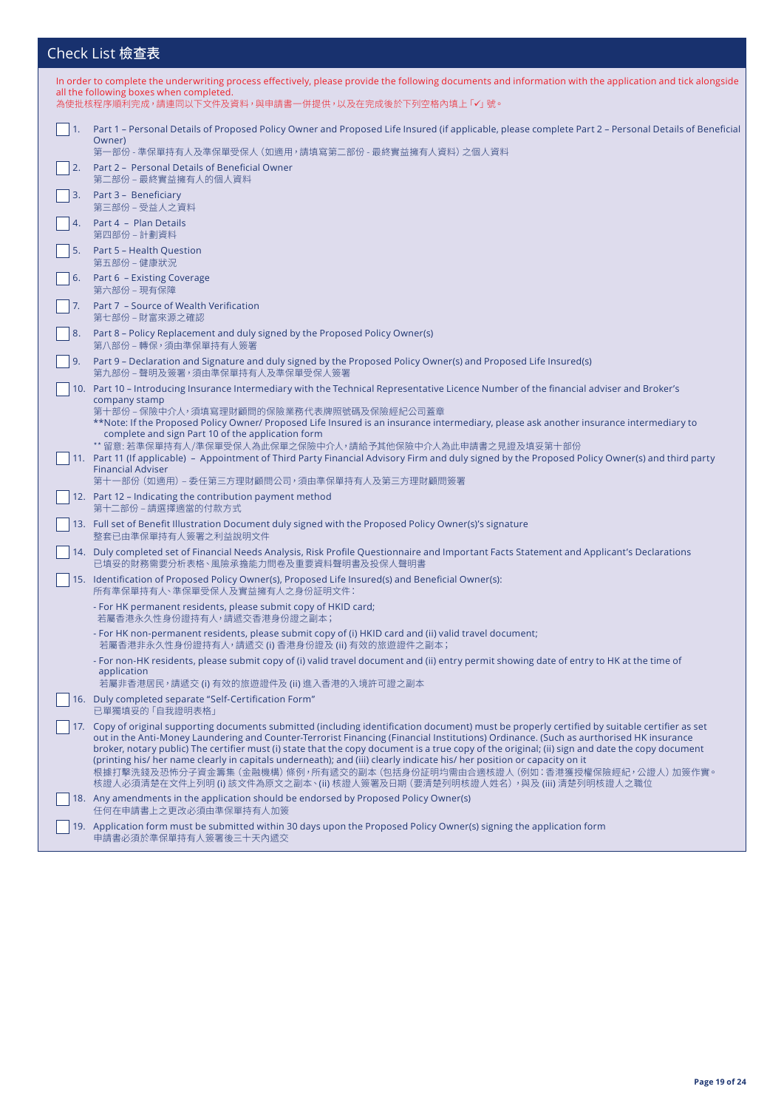## Check List 檢查表

| In order to complete the underwriting process effectively, please provide the following documents and information with the application and tick alongside<br>all the following boxes when completed.                                                                                                                                                                                                                                                                                                                                                                                                                                                                                                                              |
|-----------------------------------------------------------------------------------------------------------------------------------------------------------------------------------------------------------------------------------------------------------------------------------------------------------------------------------------------------------------------------------------------------------------------------------------------------------------------------------------------------------------------------------------------------------------------------------------------------------------------------------------------------------------------------------------------------------------------------------|
| 為使批核程序順利完成,請連同以下文件及資料,與申請書一併提供,以及在完成後於下列空格內填上「✔」號。                                                                                                                                                                                                                                                                                                                                                                                                                                                                                                                                                                                                                                                                                |
| 1. Part 1 – Personal Details of Proposed Policy Owner and Proposed Life Insured (if applicable, please complete Part 2 – Personal Details of Beneficial<br>Owner)<br>第一部份 - 準保單持有人及準保單受保人 (如適用,請填寫第二部份 - 最終實益擁有人資料) 之個人資料                                                                                                                                                                                                                                                                                                                                                                                                                                                                                                         |
| Part 2 - Personal Details of Beneficial Owner<br>第二部份 – 最終實益擁有人的個人資料                                                                                                                                                                                                                                                                                                                                                                                                                                                                                                                                                                                                                                                              |
| 3. Part 3 - Beneficiary<br>第三部份 – 受益人之資料                                                                                                                                                                                                                                                                                                                                                                                                                                                                                                                                                                                                                                                                                          |
| 4. Part 4 - Plan Details<br>第四部份 – 計劃資料                                                                                                                                                                                                                                                                                                                                                                                                                                                                                                                                                                                                                                                                                           |
| 5. Part 5 - Health Question<br>第五部份 – 健康狀況                                                                                                                                                                                                                                                                                                                                                                                                                                                                                                                                                                                                                                                                                        |
| 6. Part 6 - Existing Coverage<br>第六部份 – 現有保障                                                                                                                                                                                                                                                                                                                                                                                                                                                                                                                                                                                                                                                                                      |
| Part 7 - Source of Wealth Verification<br>第七部份 – 財富來源之確認                                                                                                                                                                                                                                                                                                                                                                                                                                                                                                                                                                                                                                                                          |
| 8. Part 8 - Policy Replacement and duly signed by the Proposed Policy Owner(s)<br>第八部份 – 轉保,須由準保單持有人簽署                                                                                                                                                                                                                                                                                                                                                                                                                                                                                                                                                                                                                            |
| Part 9 – Declaration and Signature and duly signed by the Proposed Policy Owner(s) and Proposed Life Insured(s)<br>第九部份 – 聲明及簽署,須由準保單持有人及準保單受保人簽署                                                                                                                                                                                                                                                                                                                                                                                                                                                                                                                                                                                 |
| 10. Part 10 – Introducing Insurance Intermediary with the Technical Representative Licence Number of the financial adviser and Broker's<br>company stamp<br>第十部份 – 保險中介人,須填寫理財顧問的保險業務代表牌照號碼及保險經紀公司蓋章<br>**Note: If the Proposed Policy Owner/ Proposed Life Insured is an insurance intermediary, please ask another insurance intermediary to                                                                                                                                                                                                                                                                                                                                                                                    |
| complete and sign Part 10 of the application form<br>** 留意: 若準保單持有人/準保單受保人為此保單之保險中介人, 請給予其他保險中介人為此申請書之見證及填妥第十部份<br>11. Part 11 (If applicable) – Appointment of Third Party Financial Advisory Firm and duly signed by the Proposed Policy Owner(s) and third party<br><b>Financial Adviser</b><br>第十一部份 (如適用) – 委任第三方理財顧問公司,須由準保單持有人及第三方理財顧問簽署                                                                                                                                                                                                                                                                                                                                                                                   |
| 12. Part 12 – Indicating the contribution payment method<br>第十二部份 – 請選擇適當的付款方式                                                                                                                                                                                                                                                                                                                                                                                                                                                                                                                                                                                                                                                    |
| 13. Full set of Benefit Illustration Document duly signed with the Proposed Policy Owner(s)'s signature<br>整套已由準保單持有人簽署之利益說明文件                                                                                                                                                                                                                                                                                                                                                                                                                                                                                                                                                                                                    |
| 14. Duly completed set of Financial Needs Analysis, Risk Profile Questionnaire and Important Facts Statement and Applicant's Declarations<br>已填妥的財務需要分析表格、風險承擔能力問卷及重要資料聲明書及投保人聲明書                                                                                                                                                                                                                                                                                                                                                                                                                                                                                                                                                 |
| 15. Identification of Proposed Policy Owner(s), Proposed Life Insured(s) and Beneficial Owner(s):<br>所有準保單持有人、準保單受保人及實益擁有人之身份証明文件:                                                                                                                                                                                                                                                                                                                                                                                                                                                                                                                                                                                                |
| - For HK permanent residents, please submit copy of HKID card;<br>若屬香港永久性身份證持有人,請遞交香港身份證之副本;                                                                                                                                                                                                                                                                                                                                                                                                                                                                                                                                                                                                                                      |
| - For HK non-permanent residents, please submit copy of (i) HKID card and (ii) valid travel document;<br>若屬香港非永久性身份證持有人,請遞交 (i) 香港身份證及 (ii) 有效的旅遊證件之副本;                                                                                                                                                                                                                                                                                                                                                                                                                                                                                                                                                                           |
| - For non-HK residents, please submit copy of (i) valid travel document and (ii) entry permit showing date of entry to HK at the time of<br>application<br>若屬非香港居民,請遞交 (i) 有效的旅遊證件及 (ii) 進入香港的入境許可證之副本                                                                                                                                                                                                                                                                                                                                                                                                                                                                                                                            |
| 16. Duly completed separate "Self-Certification Form"<br>已單獨填妥的「自我證明表格」                                                                                                                                                                                                                                                                                                                                                                                                                                                                                                                                                                                                                                                           |
| 17. Copy of original supporting documents submitted (including identification document) must be properly certified by suitable certifier as set<br>out in the Anti-Money Laundering and Counter-Terrorist Financing (Financial Institutions) Ordinance. (Such as aurthorised HK insurance<br>broker, notary public) The certifier must (i) state that the copy document is a true copy of the original; (ii) sign and date the copy document<br>(printing his/her name clearly in capitals underneath); and (iii) clearly indicate his/her position or capacity on it<br>根據打擊洗錢及恐怖分子資金籌集 (金融機構) 條例,所有遞交的副本 (包括身份証明均需由合適核證人 (例如:香港獲授權保險經紀,公證人) 加簽作實。<br>核證人必須清楚在文件上列明 (i) 該文件為原文之副本、(ii) 核證人簽署及日期 (要清楚列明核證人姓名),與及 (iii) 清楚列明核證人之職位 |
| 18. Any amendments in the application should be endorsed by Proposed Policy Owner(s)<br>任何在申請書上之更改必須由準保單持有人加簽                                                                                                                                                                                                                                                                                                                                                                                                                                                                                                                                                                                                                     |
| 19. Application form must be submitted within 30 days upon the Proposed Policy Owner(s) signing the application form<br>申請書必須於準保單持有人簽署後三十天內遞交                                                                                                                                                                                                                                                                                                                                                                                                                                                                                                                                                                                     |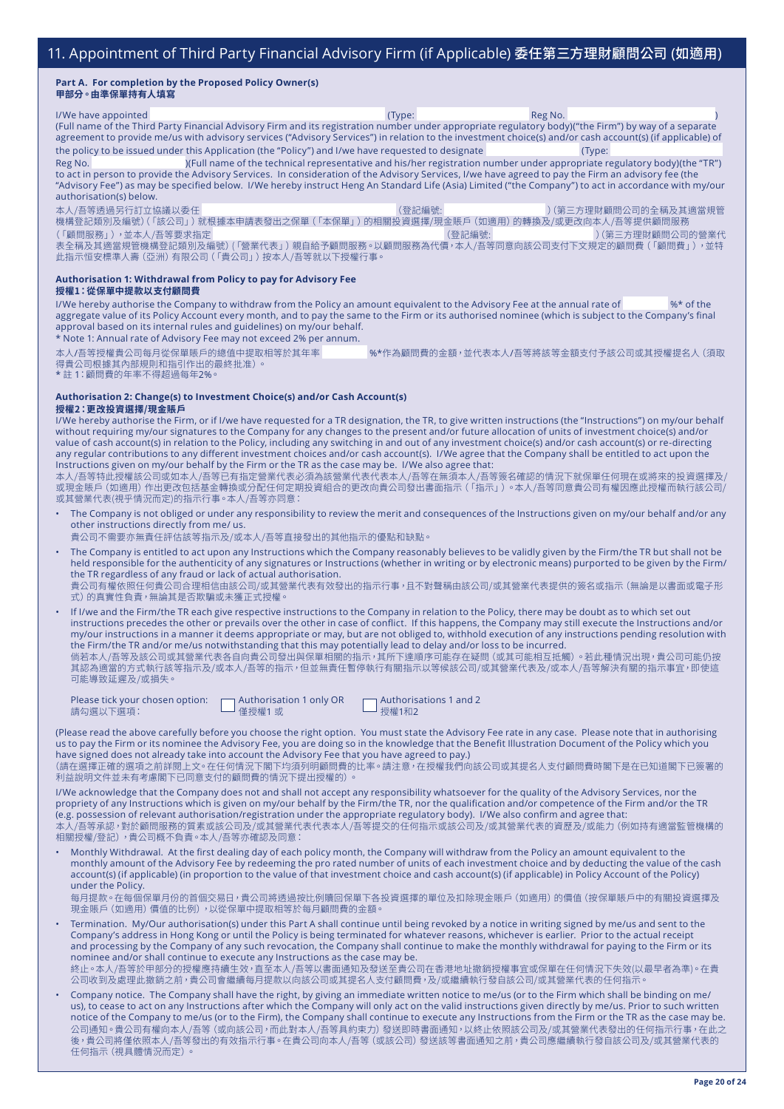#### **Part A. For completion by the Proposed Policy Owner(s) 甲部分。由準保單持有人填寫**

l/We have appointed (Type: Reg No. (Full name of the Third Party Financial Advisory Firm and its registration number under appropriate regulatory body)("the Firm") by way of a separate agreement to provide me/us with advisory services ("Advisory Services") in relation to the investment choice(s) and/or cash account(s) (if applicable) of the policy to be issued under this Application (the "Policy") and I/we have requested to designate (Type: Reg No. )(Full name of the technical representative and his/her registration number under appropriate regulatory body)(the "TR")

to act in person to provide the Advisory Services. In consideration of the Advisory Services, I/we have agreed to pay the Firm an advisory fee (the "Advisory Fee") as may be specified below. I/We hereby instruct Heng An Standard Life (Asia) Limited ("the Company") to act in accordance with my/our authorisation(s) below.

本人/吾等透過另行訂立協議以委任 (登記編號: )(第三方理財顧問公司的全稱及其適當規管 機構登記類別及編號)(「該公司」)就根據本申請表發出之保單(「本保單」)的相關投資選擇/現金賬戶(如適用)的轉換及/或更改向本人/吾等提供顧問服務 (「顧問服務」),並本人/吾等要求指定 (1999年 - 1999年 - 1999年 - 1999年 - 1999年 - 1999年 - 1999年 - 1999年 - 1999年 - 1999年 - 1999年 - 1 表全構及其適富規管機構登記類別及編號) (「營業代表」) 親自給予顧問服務。以顧問服務為代價,本人/吾等同意向該公司支付下又規定的顧問費(「顧問費」),<mark>亚</mark>特 此指示恒安標準人壽(亞洲)有限公司(「貴公司」)按本人/吾等就以下授權行事。

#### **Authorisation 1: Withdrawal from Policy to pay for Advisory Fee 授權1:從保單中提款以支付顧問費**

I/We hereby authorise the Company to withdraw from the Policy an amount equivalent to the Advisory Fee at the annual rate of %\* of the aggregate value of its Policy Account every month, and to pay the same to the Firm or its authorised nominee (which is subject to the Company's final approval based on its internal rules and guidelines) on my/our behalf.

\* Note 1: Annual rate of Advisory Fee may not exceed 2% per annum.

本人/吾等授權貴公司每月從保單賬戶的總值中提取相等於其年率 %\*作為顧問費的金額,並代表本人/吾等將該等金額支付予該公司或其授權提名人(須取 得貴公司根據其內部規則和指引作出的最終批准)。

\* 註 1:顧問費的年率不得超過每年2%。

#### **Authorisation 2: Change(s) to Investment Choice(s) and/or Cash Account(s) 授權2:更改投資選擇/現金賬戶**

I/We hereby authorise the Firm, or if I/we have requested for a TR designation, the TR, to give written instructions (the "Instructions") on my/our behalf without requiring my/our signatures to the Company for any changes to the present and/or future allocation of units of investment choice(s) and/or value of cash account(s) in relation to the Policy, including any switching in and out of any investment choice(s) and/or cash account(s) or re-directing any regular contributions to any different investment choices and/or cash account(s). I/We agree that the Company shall be entitled to act upon the Instructions given on my/our behalf by the Firm or the TR as the case may be. I/We also agree that:

本人/吾等特此授權該公司或如本人/吾等已有指定營業代表必須為該營業代表代表本人/吾等在無須本人/吾等簽名確認的情況下就保單任何現在或將來的投資選擇及/ 或現金賬戶(如適 用)作出更改包括基金轉換或分配任何定期投資組合的更改向貴公司發出書面指示(「指示」)。本人/吾等同意貴公司有權因應此授權而執行該公司/ 或其營業代表(視乎情況而定)的指示行事。本人/吾等亦同意:

• The Company is not obliged or under any responsibility to review the merit and consequences of the Instructions given on my/our behalf and/or any other instructions directly from me/ us.

貴公司不需要亦無責任評估該等指示及/或本人/吾等直接發出的其他指示的優點和缺點。

• The Company is entitled to act upon any Instructions which the Company reasonably believes to be validly given by the Firm/the TR but shall not be held responsible for the authenticity of any signatures or Instructions (whether in writing or by electronic means) purported to be given by the Firm/ the TR regardless of any fraud or lack of actual authorisation.

貴公司有權依照任何貴公司合理相信由該公司/或其營業代表有效發出的指示行事,且不對聲稱由該公司/或其營業代表提供的簽名或指示(無論是以書面或電子形 式)的真實性負責,無論其是否欺騙或未獲正式授權。

• If I/we and the Firm/the TR each give respective instructions to the Company in relation to the Policy, there may be doubt as to which set out instructions precedes the other or prevails over the other in case of conflict. If this happens, the Company may still execute the Instructions and/or my/our instructions in a manner it deems appropriate or may, but are not obliged to, withhold execution of any instructions pending resolution with the Firm/the TR and/or me/us notwithstanding that this may potentially lead to delay and/or loss to be incurred. 倘若本人/吾等及該公司或其營業代表各自向貴公司發出與保單相關的指示,其所下達順序可能存在疑問 (或其可能相互抵觸) 。若此種情況出現,貴公司可能仍按 其認為適當的方式執行該等指示及/或本人/吾等的指示,但並無責任暫停執行有關指示以等候該公司/或其營業代表及/或本人/吾等解決有關的指示事宜,即使這

可能導致延遲及/或損失。

請勾選以下選項: └─┘ 僅授權1 或 └─┘ 授權1和2

Please tick your chosen option:  $\Box$  Authorisation 1 only OR  $\Box$  Authorisations 1 and 2

(Please read the above carefully before you choose the right option. You must state the Advisory Fee rate in any case. Please note that in authorising us to pay the Firm or its nominee the Advisory Fee, you are doing so in the knowledge that the Benefit Illustration Document of the Policy which you have signed does not already take into account the Advisory Fee that you have agreed to pay.)

 (請在選擇正確的選項之前詳閱上文。在任何情況下閣下均須列明顧問費的比率。請注意,在授權我們向該公司或其提名人支付顧問費時閣下是在已知道閣下已簽署的 利益說明文件並未有考慮閣下已同意支付的顧問費的情況下提出授權的)。

I/We acknowledge that the Company does not and shall not accept any responsibility whatsoever for the quality of the Advisory Services, nor the propriety of any Instructions which is given on my/our behalf by the Firm/the TR, nor the qualification and/or competence of the Firm and/or the TR (e.g. possession of relevant authorisation/registration under the appropriate regulatory body). I/We also confirm and agree that:

本人/吾等承認,對於顧問服務的質素或該公司及/或其營業代表代表本人/吾等提交的任何指示或該公司及/或其營業代表的資歷及/或能力(例如持有適當監管機構的 相關授權/登記),貴公司概不負責。本人/吾等亦確認及同意:

• Monthly Withdrawal. At the first dealing day of each policy month, the Company will withdraw from the Policy an amount equivalent to the monthly amount of the Advisory Fee by redeeming the pro rated number of units of each investment choice and by deducting the value of the cash account(s) (if applicable) (in proportion to the value of that investment choice and cash account(s) (if applicable) in Policy Account of the Policy) under the Policy.

每月提款。在每個保單月份的首個交易日,貴公司將透過按比例贖回保單下各投資選擇的單位及扣除現金賬戶(如適用)的價值(按保單賬戶中的有關投資選擇及 現金賬戶(如適用)價值的比例),以從保單中提取相等於每月顧問費的金額。

- Termination. My/Our authorisation(s) under this Part A shall continue until being revoked by a notice in writing signed by me/us and sent to the Company's address in Hong Kong or until the Policy is being terminated for whatever reasons, whichever is earlier. Prior to the actual receipt and processing by the Company of any such revocation, the Company shall continue to make the monthly withdrawal for paying to the Firm or its nominee and/or shall continue to execute any Instructions as the case may be. 終止。本人/吾等於甲部分的授權應持續生效,直至本人/吾等以書面通知及發送至貴公司在香港地址撤銷授權事宜或保單在任何情況下失效(以最早者為準)。在貴 公司收到及處理此撤銷之前,貴公司會繼續每月提款以向該公司或其提名人支付顧問費,及/或繼續執行發自該公司/或其營業代表的任何指示。
- Company notice. The Company shall have the right, by giving an immediate written notice to me/us (or to the Firm which shall be binding on me/ us), to cease to act on any Instructions after which the Company will only act on the valid instructions given directly by me/us. Prior to such written notice of the Company to me/us (or to the Firm), the Company shall continue to execute any Instructions from the Firm or the TR as the case may be. 公司通知。責公司有權向本人/吾等 (或同該公司,而此對本人/吾等具約束刀) 發送即時書面通知,以終止依照該公司及/或其營業代表發出的仕何指示行事,在此乙 後,責公司將僅依照本人/吾等發出的有效指示行事。在責公司向本人/吾等 (或該公司) 發送該等書面通知之前,責公司應繼續執行發自該公司及/或其營業代表的 任何指示(視具體情況而定)。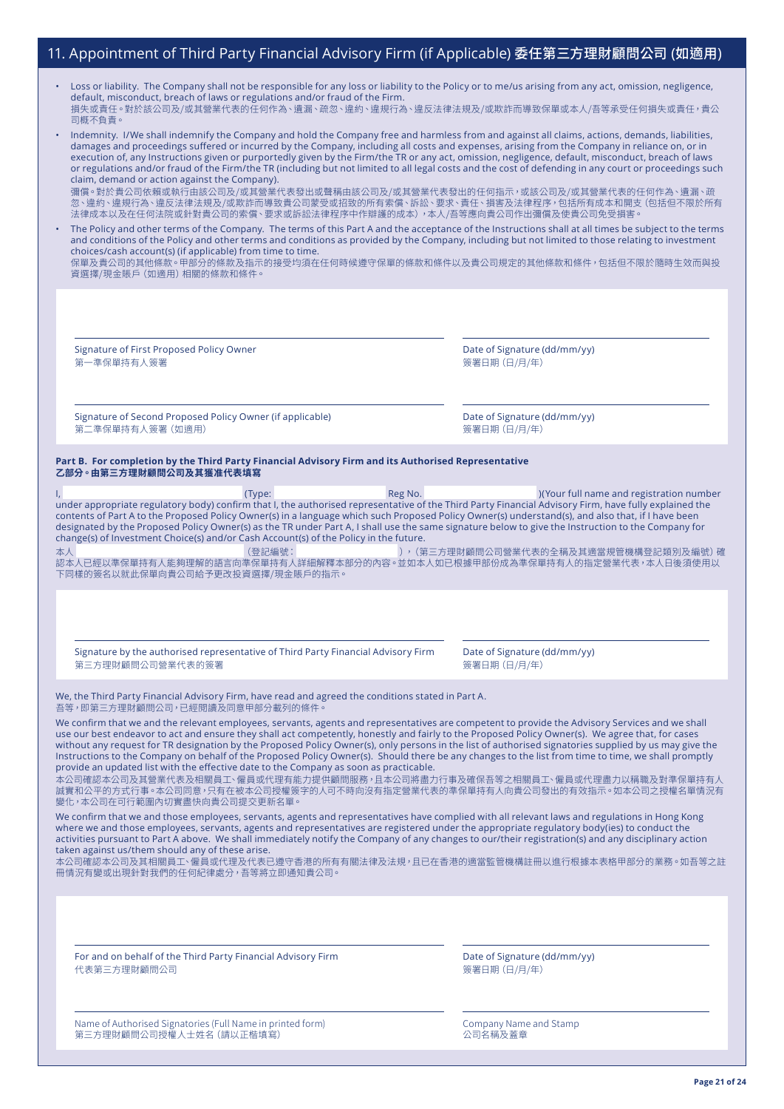## 11. Appointment of Third Party Financial Advisory Firm (if Applicable) 委任第三方理財顧問公司 (如適用)

| Loss or liability. The Company shall not be responsible for any loss or liability to the Policy or to me/us arising from any act, omission, negligence, |
|---------------------------------------------------------------------------------------------------------------------------------------------------------|
| default, misconduct, breach of laws or regulations and/or fraud of the Firm.                                                                            |
| ˈ損失或責任。對於該公司及/或其營業代表的任何作為、遺漏、疏忽、違約、違規行為、違反法律法規及/或欺詐而導致保單或本人/吾等承受任何損失或責任,貴公<br>司概不自青。                                                                    |

| Indemnity. I/We shall indemnify the Company and hold the Company free and harmless from and against all claims, actions, demands, liabilities,          |
|---------------------------------------------------------------------------------------------------------------------------------------------------------|
| damages and proceedings suffered or incurred by the Company, including all costs and expenses, arising from the Company in reliance on, or in           |
| execution of, any Instructions given or purportedly given by the Firm/the TR or any act, omission, negligence, default, misconduct, breach of laws      |
| or regulations and/or fraud of the Firm/the TR (including but not limited to all legal costs and the cost of defending in any court or proceedings such |
| claim, demand or action against the Company).                                                                                                           |

彌償。對於貴公司依賴或執行由該公司及/或其營業代表發出或聲稱由該公司及/或其營業代表發出的任何指示,或該公司及/或其營業代表的任何作為、遺漏、疏 忽、違約、違規行為、違反法律法規及/或欺詐而導致貴公司蒙受或招致的所有索償、訴訟、要求、責任、損害及法律程序,包括所有成本和開支(包括但不限於所有 法律成本以及在任何法院或針對貴公司的索償、要求或訴訟法律程序中作辯護的成本),本人/吾等應向貴公司作出彌償及使貴公司免受損害

• The Policy and other terms of the Company. The terms of this Part A and the acceptance of the Instructions shall at all times be subject to the terms and conditions of the Policy and other terms and conditions as provided by the Company, including but not limited to those relating to investment choices/cash account(s) (if applicable) from time to time.

保單及貴公司的其他條款。甲部分的條款及指示的接受均須在任何時候遵守保單的條款和條件以及貴公司規定的其他條款和條件,包括但不限於隨時生效而與投 資選擇/現金賬戶(如適用)相關的條款和條件。

Signature of First Proposed Policy Owner 第一準保單持有人簽署

Date of Signature (dd/mm/yy) 簽署日期(日/月/年)

Signature of Second Proposed Policy Owner (if applicable) 第二準保單持有人簽署(如適用)

Date of Signature (dd/mm/yy) 簽署日期(日/月/年)

#### **Part B. For completion by the Third Party Financial Advisory Firm and its Authorised Representative 乙部分。由第三方理財顧問公司及其獲准代表填寫**

(Type: Reg No. 2008) Reg No. 2012 (Your full name and registration number under appropriate regulatory body) confirm that I, the authorised representative of the Third Party Financial Advisory Firm, have fully explained the contents of Part A to the Proposed Policy Owner(s) in a language which such Proposed Policy Owner(s) understand(s), and also that, if I have been designated by the Proposed Policy Owner(s) as the TR under Part A, I shall use the same signature below to give the Instruction to the Company for change(s) of Investment Choice(s) and/or Cash Account(s) of the Policy in the future.

本人 (登記編號: ),(第三方理財顧問公司營業代表的全稱及其適當規管機構登記類別及編號)確 認本人已經以準保單持有人能夠理解的語言向準保單持有人詳細解釋本部分的内容。並如本人如已根據甲部份成為準保單持有人的指定營業代表,本人日後須使用以 下同樣的簽名以就此保單向貴公司給予更改投資選擇/現金賬戶的指示。

Signature by the authorised representative of Third Party Financial Advisory Firm 第三方理財顧問公司營業代表的簽署

Date of Signature (dd/mm/yy) 簽署日期(日/月/年)

We, the Third Party Financial Advisory Firm, have read and agreed the conditions stated in Part A. 吾等,即第三方理財顧問公司,已經閱讀及同意甲部分載列的條件

We confirm that we and the relevant employees, servants, agents and representatives are competent to provide the Advisory Services and we shall use our best endeavor to act and ensure they shall act competently, honestly and fairly to the Proposed Policy Owner(s). We agree that, for cases without any request for TR designation by the Proposed Policy Owner(s), only persons in the list of authorised signatories supplied by us may give the Instructions to the Company on behalf of the Proposed Policy Owner(s). Should there be any changes to the list from time to time, we shall promptly provide an updated list with the effective date to the Company as soon as practicable.

本公司確認本公司及其營業代表及相關員工、僱員或代理有能力提供顧問服務,且本公司將盡力行事及確保吾等之相關員工、僱員或代理盡力以稱職及對準保單持有人 誠實和公平的方式行事。本公司同意,只有在被本公司授權簽字的人可不時向沒有指定營業代表的準保單持有人向貴公司發出的有效指示。如本公司之授權名單情況有 變化,本公司在可行範圍內切實盡快向貴公司提交更新名單。

We confirm that we and those employees, servants, agents and representatives have complied with all relevant laws and regulations in Hong Kong where we and those employees, servants, agents and representatives are registered under the appropriate regulatory body(ies) to conduct the activities pursuant to Part A above. We shall immediately notify the Company of any changes to our/their registration(s) and any disciplinary action taken against us/them should any of these arise.

本公司確認本公司及其相關員工、僱員或代理及代表已遵守香港的所有有關法律及法規,且已在香港的適當監管機構註冊以進行根據本表格甲部分的業務。如吾等之註 冊情況有變或出現針對我們的任何紀律處分,吾等將立即通知貴公司。

For and on behalf of the Third Party Financial Advisory Firm 代表第三方理財顧問公司

Date of Signature (dd/mm/yy) 簽署日期(日/月/年)

Name of Authorised Signatories (Full Name in printed form) 第三方理財顧問公司授權人士姓名(請以正楷填寫)

Company Name and Stamp 公司名稱及蓋章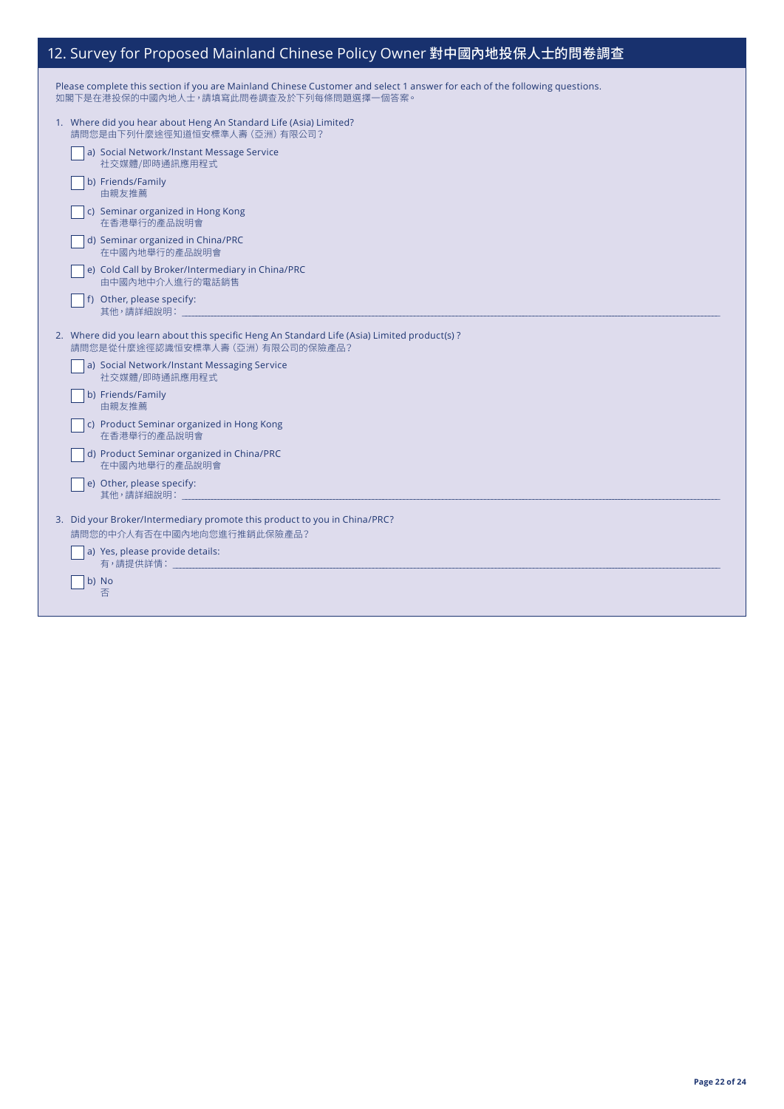# 12. Survey for Proposed Mainland Chinese Policy Owner 對中國內地投保人士的問卷調查

| Please complete this section if you are Mainland Chinese Customer and select 1 answer for each of the following questions. |
|----------------------------------------------------------------------------------------------------------------------------|
| 如閣下是在港投保的中國內地人士,請填寫此問卷調查及於下列每條問題選擇一個答案。                                                                                    |

| 1. Where did you hear about Heng An Standard Life (Asia) Limited?<br>請問您是由下列什麼涂徑知道恒安標準人壽 (亞洲) 有限公司?                              |
|----------------------------------------------------------------------------------------------------------------------------------|
| a) Social Network/Instant Message Service<br>社交媒體/即時通訊應用程式                                                                       |
| b) Friends/Family<br>由親友推薦                                                                                                       |
| c) Seminar organized in Hong Kong<br>在香港舉行的產品說明會                                                                                 |
| d) Seminar organized in China/PRC<br>在中國內地舉行的產品說明會                                                                               |
| e) Cold Call by Broker/Intermediary in China/PRC<br>由中國內地中介人進行的電話銷售                                                              |
| f) Other, please specify:<br>其他,請詳細說明:                                                                                           |
| 2. Where did you learn about this specific Heng An Standard Life (Asia) Limited product(s)?<br>請問您是從什麼途徑認識恒安標準人壽 (亞洲) 有限公司的保險產品? |
| a) Social Network/Instant Messaging Service<br>社交媒體/即時通訊應用程式                                                                     |
| b) Friends/Family<br>由親友推薦                                                                                                       |
| c) Product Seminar organized in Hong Kong<br>在香港舉行的產品說明會                                                                         |
| d) Product Seminar organized in China/PRC<br>在中國內地舉行的產品說明會                                                                       |
| e) Other, please specify:<br>其他,請詳細說明:                                                                                           |
| 3. Did your Broker/Intermediary promote this product to you in China/PRC?<br>請問您的中介人有否在中國內地向您進行推銷此保險產品?                          |
| a) Yes, please provide details:                                                                                                  |
| b) No<br>否                                                                                                                       |
|                                                                                                                                  |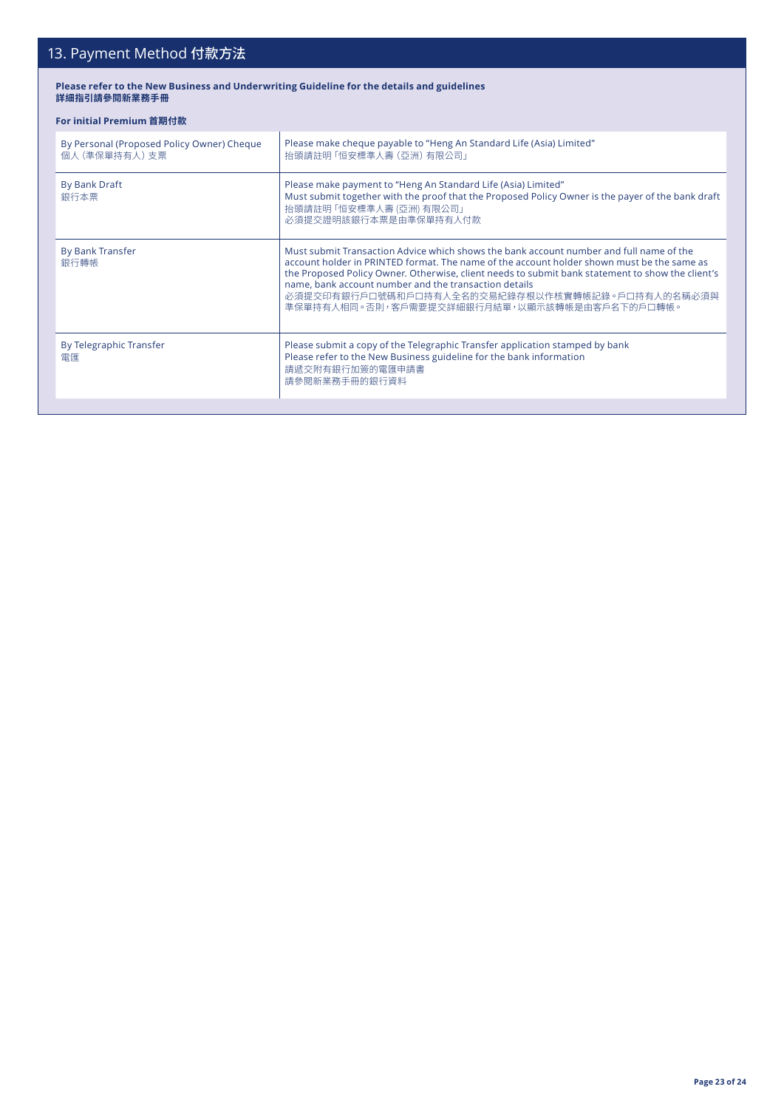# 13. Payment Method 付款方法

#### **Please refer to the New Business and Underwriting Guideline for the details and guidelines 詳細指引請參閱新業務手冊**

### **For initial Premium 首期付款**

| By Personal (Proposed Policy Owner) Cheque<br>個人 (準保單持有人) 支票 | Please make cheque payable to "Heng An Standard Life (Asia) Limited"<br>抬頭請註明 「恒安標準人壽 (亞洲) 有限公司」                                                                                                                                                                                                                                                                                                                                                      |  |
|--------------------------------------------------------------|-------------------------------------------------------------------------------------------------------------------------------------------------------------------------------------------------------------------------------------------------------------------------------------------------------------------------------------------------------------------------------------------------------------------------------------------------------|--|
| By Bank Draft<br>銀行本票                                        | Please make payment to "Heng An Standard Life (Asia) Limited"<br>Must submit together with the proof that the Proposed Policy Owner is the payer of the bank draft<br>抬頭請註明 「恒安標準人壽 (亞洲) 有限公司」<br>必須提交證明該銀行本票是由準保單持有人付款                                                                                                                                                                                                                               |  |
| <b>By Bank Transfer</b><br>銀行轉帳                              | Must submit Transaction Advice which shows the bank account number and full name of the<br>account holder in PRINTED format. The name of the account holder shown must be the same as<br>the Proposed Policy Owner. Otherwise, client needs to submit bank statement to show the client's<br>name, bank account number and the transaction details<br>必須提交印有銀行戶口號碼和戶口持有人全名的交易紀錄存根以作核實轉帳記錄。戶口持有人的名稱必須與<br>準保單持有人相同。否則,客戶需要提交詳細銀行月結單,以顯示該轉帳是由客戶名下的戶口轉帳。 |  |
| By Telegraphic Transfer<br>雷匯                                | Please submit a copy of the Telegraphic Transfer application stamped by bank<br>Please refer to the New Business guideline for the bank information<br>請遞交附有銀行加簽的電匯申請書<br>請參閱新業務手冊的銀行資料                                                                                                                                                                                                                                                               |  |